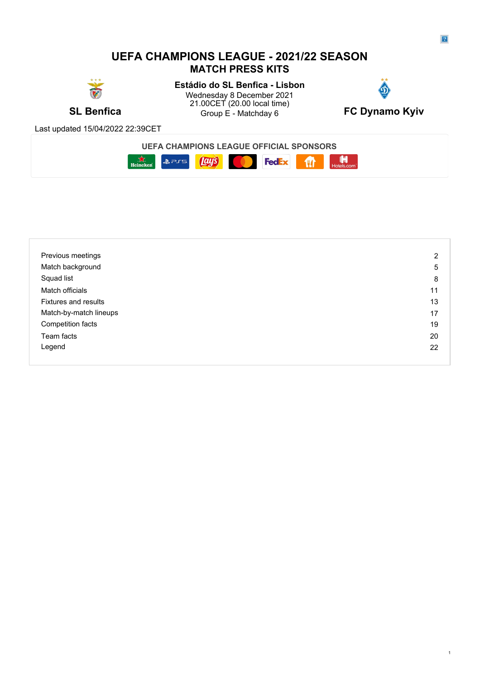# **UEFA CHAMPIONS LEAGUE - 2021/22 SEASON MATCH PRESS KITS**



**SL Benfica** Group E - Matchday 6 **FC Dynamo Kyiv Estádio do SL Benfica - Lisbon** Wednesday 8 December 2021 21.00CET (20.00 local time)



Last updated 15/04/2022 22:39CET



| Previous meetings           | 2  |
|-----------------------------|----|
| Match background            | 5  |
| Squad list                  | 8  |
| Match officials             | 11 |
| <b>Fixtures and results</b> | 13 |
| Match-by-match lineups      | 17 |
| Competition facts           | 19 |
| Team facts                  | 20 |
| Legend                      | 22 |
|                             |    |

1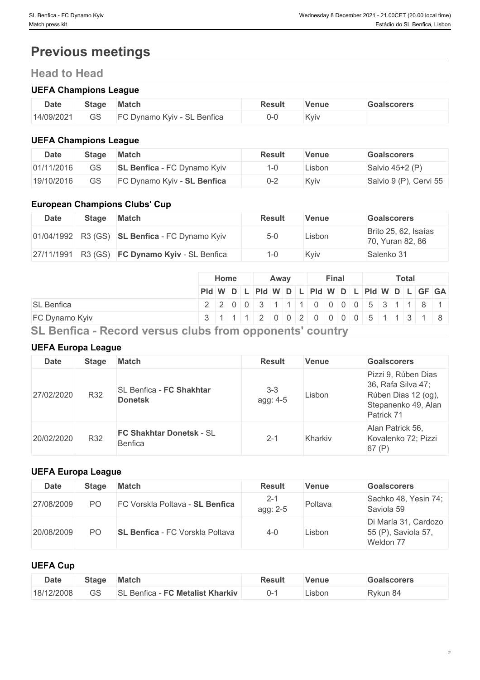# **Previous meetings**

# **Head to Head**

# **UEFA Champions League**

| <b>Date</b> | <b>Stage</b> | Match                                          | Result | Venue | <b>Goalscorers</b> |
|-------------|--------------|------------------------------------------------|--------|-------|--------------------|
| 14/09/2021  | GS           | $T \cap D_{11}$<br>-C Dynamo Kyiv - SL Benfica | (J-()  | Kviv  |                    |

# **UEFA Champions League**

| <b>Date</b> | <b>Stage</b> | <b>Match</b>                       | Result  | Venue  | <b>Goalscorers</b>     |
|-------------|--------------|------------------------------------|---------|--------|------------------------|
| 01/11/2016  |              | <b>SL Benfica</b> - FC Dynamo Kyiv | 1-C     | .isbon | Salvio 45+2 (P)        |
| 19/10/2016  |              | FC Dynamo Kyiv - SL Benfica        | $0 - 2$ | Kyiv   | Salvio 9 (P), Cervi 55 |

# **European Champions Clubs' Cup**

| Date | <b>Stage</b> | Match                                            | <b>Result</b> | <b>Venue</b> | <b>Goalscorers</b>                       |
|------|--------------|--------------------------------------------------|---------------|--------------|------------------------------------------|
|      |              | 01/04/1992 R3 (GS) SL Benfica - FC Dynamo Kyiv   | $5-0$         | Lisbon       | Brito 25, 62, Isaías<br>70, Yuran 82, 86 |
|      |              | $27/11/1991$ R3 (GS) FC Dynamo Kyiv - SL Benfica | 1-0           | Kviv         | Salenko 31                               |

|                                                          |  | Home |  | Awav |  | Final |  |  | <b>Total</b> |                                               |  |
|----------------------------------------------------------|--|------|--|------|--|-------|--|--|--------------|-----------------------------------------------|--|
|                                                          |  |      |  |      |  |       |  |  |              | Pid W D L Pid W D L Pid W D L Pid W D L GF GA |  |
| <b>SL Benfica</b>                                        |  |      |  |      |  |       |  |  |              | 2 2 0 0 3 1 1 1 0 0 0 0 5 3 1 1 8 1           |  |
| FC Dynamo Kyiv                                           |  |      |  |      |  |       |  |  |              | 3 1 1 1 1 2 0 0 2 0 0 0 0 0 5 1 1 3 1 8       |  |
| SL Benfica - Record versus clubs from opponents' country |  |      |  |      |  |       |  |  |              |                                               |  |

# **UEFA Europa League**

| <b>Date</b> | <b>Stage</b> | <b>Match</b>                               | <b>Result</b>       | <b>Venue</b> | <b>Goalscorers</b>                                                                                    |
|-------------|--------------|--------------------------------------------|---------------------|--------------|-------------------------------------------------------------------------------------------------------|
| 27/02/2020  | R32          | SL Benfica - FC Shakhtar<br><b>Donetsk</b> | $3 - 3$<br>agg: 4-5 | Lisbon       | Pizzi 9, Rúben Dias<br>36, Rafa Silva 47;<br>Rúben Dias 12 (og),<br>Stepanenko 49, Alan<br>Patrick 71 |
| 20/02/2020  | R32          | FC Shakhtar Donetsk - SL<br>Benfica        | $2 - 1$             | Kharkiv      | Alan Patrick 56,<br>Kovalenko 72; Pizzi<br>67(P)                                                      |

# **UEFA Europa League**

| <b>Date</b> | <b>Stage</b>   | <b>Match</b>                           | <b>Result</b>       | Venue   | <b>Goalscorers</b>                                       |
|-------------|----------------|----------------------------------------|---------------------|---------|----------------------------------------------------------|
| 27/08/2009  | P <sub>O</sub> | FC Vorskla Poltava - SL Benfica        | $2 - 1$<br>agg: 2-5 | Poltava | Sachko 48, Yesin 74;<br>Saviola 59                       |
| 20/08/2009  | PΟ             | <b>SL Benfica</b> - FC Vorskla Poltava | $4 - 0$             | ∟isbon  | Di María 31, Cardozo<br>55 (P), Saviola 57,<br>Weldon 77 |

# **UEFA Cup**

| <b>Date</b> | Stage        | <b>Match</b>                                | Result | Venue   | Goalscorers |
|-------------|--------------|---------------------------------------------|--------|---------|-------------|
| 18/12/2008  | $\cap$<br>55 | <b>FC Metalist Kharkiv</b><br>SL<br>Benfica | U-     | Lisbon. | ੁੰ Rykun 8ੌ |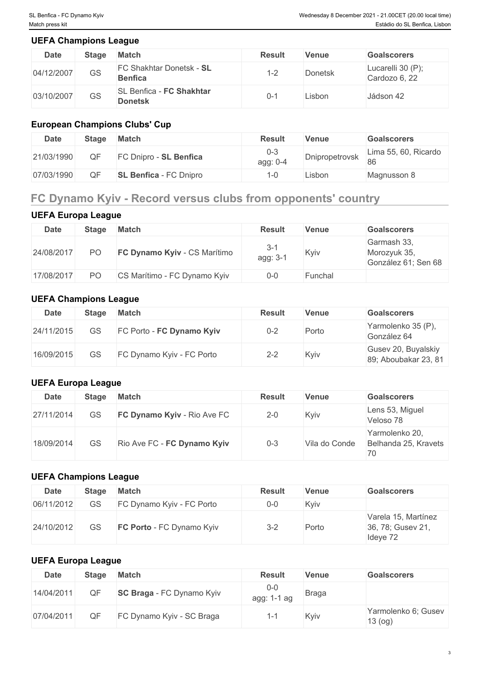# **UEFA Champions League**

| <b>Date</b> | <b>Stage</b> | <b>Match</b>                                      | <b>Result</b>             | Venue          | <b>Goalscorers</b>                 |
|-------------|--------------|---------------------------------------------------|---------------------------|----------------|------------------------------------|
| 04/12/2007  | GS           | <b>FC Shakhtar Donetsk - SL</b><br><b>Benfica</b> | $\sim$<br>$-$<br><u>_</u> | <b>Donetsk</b> | Lucarelli 30 (P);<br>Cardozo 6, 22 |
| 03/10/2007  | GS           | SL Benfica - FC Shakhtar<br><b>Donetsk</b>        | 0-1                       | Lisbon         | Jádson 42                          |

# **European Champions Clubs' Cup**

| <b>Date</b> | <b>Stage</b> | <b>Match</b>                  | Result              | Venue          | Goalscorers                |
|-------------|--------------|-------------------------------|---------------------|----------------|----------------------------|
| 21/03/1990  |              | FC Dnipro - SL Benfica        | $0 - 3$<br>agg: 0-4 | Dnipropetrovsk | Lima 55, 60, Ricardo<br>86 |
| 07/03/1990  |              | <b>SL Benfica - FC Dnipro</b> | 1-0                 | .isbon         | Magnusson 8                |

# **FC Dynamo Kyiv - Record versus clubs from opponents' country**

# **UEFA Europa League**

| Date       | <b>Stage</b> | <b>Match</b>                 | <b>Result</b>     | Venue   | <b>Goalscorers</b>                                 |
|------------|--------------|------------------------------|-------------------|---------|----------------------------------------------------|
| 24/08/2017 | PО           | FC Dynamo Kyiv - CS Marítimo | $3-1$<br>agg: 3-1 | Kyiv    | Garmash 33,<br>Morozyuk 35,<br>González 61; Sen 68 |
| 17/08/2017 | PО           | CS Marítimo - FC Dynamo Kyiv | $0 - 0$           | Funchal |                                                    |

# **UEFA Champions League**

| Date       | <b>Stage</b> | <b>Match</b>              | <b>Result</b> | Venue | <b>Goalscorers</b>                          |
|------------|--------------|---------------------------|---------------|-------|---------------------------------------------|
| 24/11/2015 | GS           | FC Porto - FC Dynamo Kyiv | $0 - 2$       | Porto | Yarmolenko 35 (P),<br>González 64           |
| 16/09/2015 | GS           | FC Dynamo Kyiv - FC Porto | $2 - 2$       | Kyiv  | Gusev 20, Buyalskiy<br>89; Aboubakar 23, 81 |

# **UEFA Europa League**

| <b>Date</b> | <b>Stage</b> | Match                              | <b>Result</b> | <b>Venue</b>  | <b>Goalscorers</b>                           |
|-------------|--------------|------------------------------------|---------------|---------------|----------------------------------------------|
| 27/11/2014  | GS           | <b>FC Dynamo Kyiv - Rio Ave FC</b> | $2 - 0$       | Kyiv          | Lens 53, Miguel<br>Veloso 78                 |
| 18/09/2014  | GS           | Rio Ave FC - FC Dynamo Kyiv        | $0 - 3$       | Vila do Conde | Yarmolenko 20,<br>Belhanda 25, Kravets<br>70 |

# **UEFA Champions League**

| <b>Date</b> | <b>Stage</b> | Match                            | <b>Result</b> | <b>Venue</b> | <b>Goalscorers</b>                                   |
|-------------|--------------|----------------------------------|---------------|--------------|------------------------------------------------------|
| 06/11/2012  | GS           | FC Dynamo Kyiv - FC Porto        | $0 - 0$       | Kyiv         |                                                      |
| 24/10/2012  | GS           | <b>FC Porto</b> - FC Dynamo Kyiv | $3 - 2$       | Porto        | Varela 15, Martínez<br>36, 78; Gusev 21,<br>Ideye 72 |

# **UEFA Europa League**

| <b>Date</b> | <b>Stage</b> | <b>Match</b>                     | <b>Result</b>               | <b>Venue</b> | <b>Goalscorers</b>             |
|-------------|--------------|----------------------------------|-----------------------------|--------------|--------------------------------|
| 14/04/2011  | QF           | <b>SC Braga</b> - FC Dynamo Kyiv | $0 - 0$<br>$1-1$ ag<br>agg: | <b>Braga</b> |                                |
| 07/04/2011  | QF           | FC Dynamo Kyiv - SC Braga        | ı —                         | Kyiv         | Yarmolenko 6; Gusev<br>13 (og) |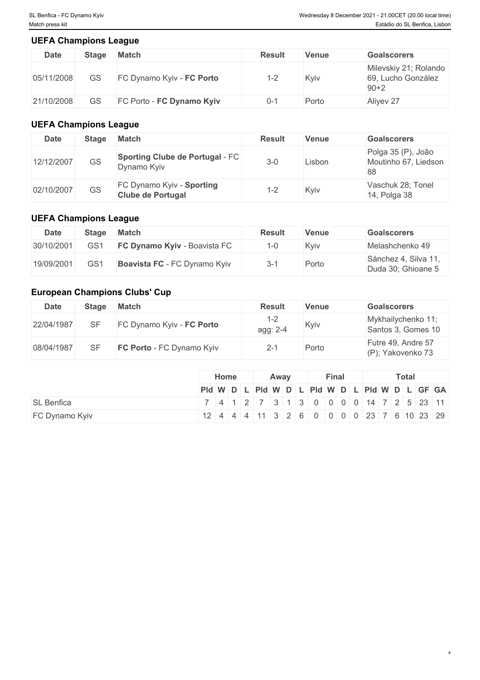# **UEFA Champions League**

| <b>Date</b> | <b>Stage</b> | <b>Match</b>              | <b>Result</b> | Venue | <b>Goalscorers</b>                                    |
|-------------|--------------|---------------------------|---------------|-------|-------------------------------------------------------|
| 05/11/2008  | GS           | FC Dynamo Kyiv - FC Porto | $1 - 2$       | Kyiv  | Milevskiy 21; Rolando<br>69, Lucho González<br>$90+2$ |
| 21/10/2008  | GS           | FC Porto - FC Dynamo Kyiv | 0-1           | Porto | Aliyev 27                                             |

# **UEFA Champions League**

| Date       | <b>Stage</b> | <b>Match</b>                                          | <b>Result</b> | Venue  | <b>Goalscorers</b>                               |
|------------|--------------|-------------------------------------------------------|---------------|--------|--------------------------------------------------|
| 12/12/2007 | GS           | Sporting Clube de Portugal - FC<br>Dynamo Kyiv        | $3 - 0$       | ∟isbon | Polga 35 (P), João<br>Moutinho 67, Liedson<br>88 |
| 02/10/2007 | GS           | FC Dynamo Kyiv - Sporting<br><b>Clube de Portugal</b> | $1 - 2$       | Kyiv   | Vaschuk 28; Tonel<br>14, Polga 38                |

# **UEFA Champions League**

| Date       | Stage           | <b>Match</b>                        | <b>Result</b> | Venue | <b>Goalscorers</b>                         |
|------------|-----------------|-------------------------------------|---------------|-------|--------------------------------------------|
| 30/10/2001 | GS <sub>1</sub> | <b>FC Dynamo Kyiv - Boavista FC</b> |               | Kviv  | Melashchenko 49                            |
| 19/09/2001 | GS <sup>-</sup> | Boavista FC - FC Dynamo Kyiv        | $3-1$         | Porto | Sánchez 4, Silva 11,<br>Duda 30; Ghioane 5 |

# **European Champions Clubs' Cup**

| Date       | <b>Stage</b> | <b>Match</b>              | <b>Result</b>         | Venue | <b>Goalscorers</b>                       |
|------------|--------------|---------------------------|-----------------------|-------|------------------------------------------|
| 22/04/1987 |              | FC Dynamo Kyiv - FC Porto | $1 - 2$<br>agg: $2-4$ | Kyiv  | Mykhailychenko 11;<br>Santos 3, Gomes 10 |
| 08/04/1987 |              | FC Porto - FC Dynamo Kyiv | $2 - 1$               | Porto | Futre 49, Andre 57<br>(P); Yakovenko 73  |

|                   | Home                                          | Away |  | <b>Final</b> | Total |  |  |  |  |  |  |
|-------------------|-----------------------------------------------|------|--|--------------|-------|--|--|--|--|--|--|
|                   | Pid W D L Pid W D L Pid W D L Pid W D L GF GA |      |  |              |       |  |  |  |  |  |  |
| <b>SL Benfica</b> | 7 4 1 2 7 3 1 3 0 0 0 0 14 7 2 5 23 11        |      |  |              |       |  |  |  |  |  |  |
| FC Dynamo Kyiv    | $12$ 4 4 4 11 3 2 6 0 0 0 0 23 7 6 10 23 29   |      |  |              |       |  |  |  |  |  |  |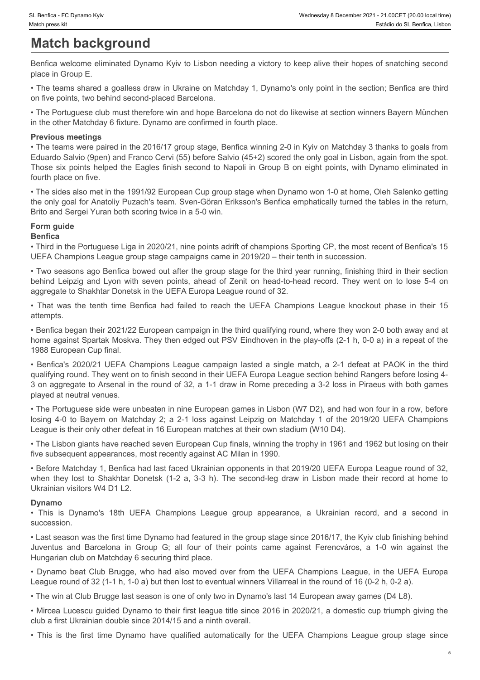# **Match background**

Benfica welcome eliminated Dynamo Kyiv to Lisbon needing a victory to keep alive their hopes of snatching second place in Group E.

• The teams shared a goalless draw in Ukraine on Matchday 1, Dynamo's only point in the section; Benfica are third on five points, two behind second-placed Barcelona.

• The Portuguese club must therefore win and hope Barcelona do not do likewise at section winners Bayern München in the other Matchday 6 fixture. Dynamo are confirmed in fourth place.

#### **Previous meetings**

• The teams were paired in the 2016/17 group stage, Benfica winning 2-0 in Kyiv on Matchday 3 thanks to goals from Eduardo Salvio (9pen) and Franco Cervi (55) before Salvio (45+2) scored the only goal in Lisbon, again from the spot. Those six points helped the Eagles finish second to Napoli in Group B on eight points, with Dynamo eliminated in fourth place on five. behind and Convertistic control of the URFA European of the third qualifying pund, where they wore a state interesting<br> **Matical behind Leipzig and Lyon metallity** to Lisbon needing a vidory to keep alive their hopes of sn

• The sides also met in the 1991/92 European Cup group stage when Dynamo won 1-0 at home, Oleh Salenko getting the only goal for Anatoliy Puzach's team. Sven-Göran Eriksson's Benfica emphatically turned the tables in the return, Brito and Sergei Yuran both scoring twice in a 5-0 win.

# **Form guide**

#### **Benfica**

• Third in the Portuguese Liga in 2020/21, nine points adrift of champions Sporting CP, the most recent of Benfica's 15 UEFA Champions League group stage campaigns came in 2019/20 – their tenth in succession.

• Two seasons ago Benfica bowed out after the group stage for the third year running, finishing third in their section aggregate to Shakhtar Donetsk in the UEFA Europa League round of 32.

attempts.

• Benfica began their 2021/22 European campaign in the third qualifying round, where they won 2-0 both away and at home against Spartak Moskva. They then edged out PSV Eindhoven in the play-offs (2-1 h, 0-0 a) in a repeat of the 1988 European Cup final.

et handca - πchocome syve - "Was the tenth time Benfica had failed to reach the tenth time Benfica we down the state and failed to reach the tenth time Benfica we content the Benfica we down elemented Dynamo Kyiv to Lisbo **EVER SECT COMPROME CONTINUEFAT CONTINUEFAT CONTINUEFAT CONTINUES TO THE CONTINUES CONTINUES TO THE CONTINUES CONTINUES CONTINUES TO THE CONTINUES CONTINUES TO THE CONTINUES CONTINUES TO THE CONTINUES CONTINUES TO THE CONT** qualifying round. They went on to finish second in their UEFA Europa League section behind Rangers before losing 4- 3 on aggregate to Arsenal in the round of 32, a 1-1 draw in Rome preceding a 3-2 loss in Piraeus with both games played at neutral venues. losing to the method on Match and Service Control on Match and Service Control on Match and Service Control on Match and Service Control on Match and Service Control on Match and Service Control on Match and Service Contro -Third in the second is optimized to in this<br>line theories shared in goodines dow in Usining on Mathrida T. Dynamics (1-2 a, 3-3 h). The protogone of the first theories when the cond-leg draw in the cond-leg draw in the co in the draw filted of the three terms of the three continues in fourth place.<br>
• The learns were pared in the 2018+7 group single mentios working 2.0 in Kylon Mathriday 3 flavins layost form<br>
• The learns were pared in the Eduatio Sakelong and the macrosof explored station (452) accords the only pain future). These in Crosoft Crist<br>Characters and the four of the Crist Crist Crist Crist Crist Crist Crist Crist Crist Crist Crist Crist Crist<br>Th nultrianate on the first station and the matter of the matter of the matter of the matter of the matter of the matter of the matter of the matter of the matter of the matter of the UEFA Champions Inc. Section 1.0 and the V • This labor provides tigan in 202022 (i.me points addrif of champions sporting (2P). Ite movies that is the forest time by the provide space for the movies apple for the first egong stage in the matter and the first time

• The Portuguese side were unbeaten in nine European games in Lisbon (W7 D2), and had won four in a row, before League is their only other defeat in 16 European matches at their own stadium (W10 D4).

• The Lisbon giants have reached seven European Cup finals, winning the trophy in 1961 and 1962 but losing on their five subsequent appearances, most recently against AC Milan in 1990.

• Before Matchday 1, Benfica had last faced Ukrainian opponents in that 2019/20 UEFA Europa League round of 32, Ukrainian visitors W4 D1 L2.

#### **Dynamo**

succession.

• Last season was the first time Dynamo had featured in the group stage since 2016/17, the Kyiv club finishing behind Hungarian club on Matchday 6 securing third place.

League round of 32 (1-1 h, 1-0 a) but then lost to eventual winners Villarreal in the round of 16 (0-2 h, 0-2 a).

• The win at Club Brugge last season is one of only two in Dynamo's last 14 European away games (D4 L8).

• Mircea Lucescu guided Dynamo to their first league title since 2016 in 2020/21, a domestic cup triumph giving the club a first Ukrainian double since 2014/15 and a ninth overall.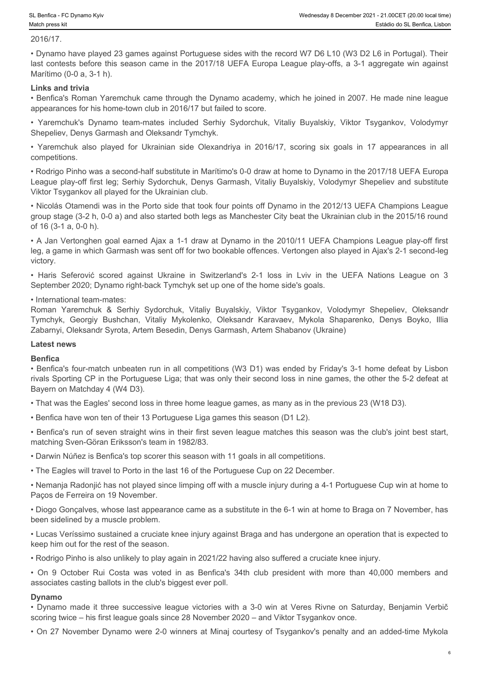#### 2016/17.

• Dynamo have played 23 games against Portuguese sides with the record W7 D6 L10 (W3 D2 L6 in Portugal). Their last contests before this season came in the 2017/18 UEFA Europa League play-offs, a 3-1 aggregate win against Marítimo (0-0 a, 3-1 h). • Yaremchuk's Dynamo Racemchuk's Dames against Portuguese sides with the record W7 D6 L10 (W3 D2 L6 in Portugal). Their<br>• Dynamo have played 23 games against Portuguese sides with the record W7 D6 L10 (W3 D2 L6 in Portugal • Rofligo Findo are played for Ukrainian side Olexandriya in 2016/11, the 2017/18 UEFA Champions I each played Passen cannot are played 23 games against Portuguese sides with the record W7 D6 L10 (W3 D2 L6 in Portugal). Th

#### **Links and trivia**

• Benfica's Roman Yaremchuk came through the Dynamo academy, which he joined in 2007. He made nine league appearances for his home-town club in 2016/17 but failed to score.

Shepeliev, Denys Garmash and Oleksandr Tymchyk.

competitions.

• Rodrigo Pinho was a second-half substitute in Marítimo's 0-0 draw at home to Dynamo in the 2017/18 UEFA Europa League play-off first leg; Serhiy Sydorchuk, Denys Garmash, Vitaliy Buyalskiy, Volodymyr Shepeliev and substitute Viktor Tsygankov all played for the Ukrainian club.

• Nicolás Otamendi was in the Porto side that took four points off Dynamo in the 2012/13 UEFA Champions League group stage (3-2 h, 0-0 a) and also started both legs as Manchester City beat the Ukrainian club in the 2015/16 round of 16 (3-1 a, 0-0 h).

• A Jan Vertonghen goal earned Ajax a 1-1 draw at Dynamo in the 2010/11 UEFA Champions League play-off first leg, a game in which Garmash was sent off for two bookable offences. Vertongen also played in Ajax's 2-1 second-leg victory.

September 2020; Dynamo right-back Tymchyk set up one of the home side's goals.

#### • International team-mates:

• Boother in Coyanna spy<br>• Westerstand Republic Score against Portuguese sides with the record W7 D6 L10 (W3 D2 L6 in Portugal). Their<br>• Dynamo have played 23 games against Portuguese sides with the record W7 D6 L10 (W3 D2 Roman Yaremchuk & Serbiy Sydorchuk & Serhiy Sydorchuk, Witaliy Buyalskiy, Viktor Tsygankov, Vistaba os Elernica Units<br>
2016/17.<br>
Elernica Northern Develope 23 games against Portuguese aldes with the record W7 D6 L10 (W3 D2 The terms are options for the content of the content of the method of the formula is the content of the content of the content of the content of the content of the content of the content of the content of the content of th Zabarnyi, Oleksandr Syrota, Artem Besedin, Denys Garmash, Artem Shabanov (Ukraine) League player first sig Sowny Syordardu. Cleary Garmash, Vitaly Buyelasy, Votodyny: Shepsilev and substitute and the Noton Costa was velocited Convention since the Noton Costa was velocited to the Distribution of the 2012/ grouss-tising c 21, 0, 0, 0 a) and also started both legs as Marchester City beat the University mode is the A01516 round<br>of 16 (3-1, a.0 Velocinglen prod days a 1-1 doce at Dynamo in the 201011: UEFA Charmoins than a 2-0

#### **Latest news**

#### **Benfica**

• Benfica's four-match unbeaten run in all competitions (W3 D1) was ended by Friday's 3-1 home defeat by Lisbon rivals Sporting CP in the Portuguese Liga; that was only their second loss in nine games, the other the 5-2 defeat at Bayern on Matchday 4 (W4 D3).

• That was the Eagles' second loss in three home league games, as many as in the previous 23 (W18 D3).

• Benfica have won ten of their 13 Portuguese Liga games this season (D1 L2).

• Benfica's run of seven straight wins in their first seven league matches this season was the club's joint best start, matching Sven-Göran Eriksson's team in 1982/83.

• Darwin Núñez is Benfica's top scorer this season with 11 goals in all competitions.

• The Eagles will travel to Porto in the last 16 of the Portuguese Cup on 22 December.

• Nemanja Radonjić has not played since limping off with a muscle injury during a 4-1 Portuguese Cup win at home to Paços de Ferreira on 19 November.

• Diogo Gonçalves, whose last appearance came as a substitute in the 6-1 win at home to Braga on 7 November, has been sidelined by a muscle problem.

• Lucas Veríssimo sustained a cruciate knee injury against Braga and has undergone an operation that is expected to keep him out for the rest of the season.

• Rodrigo Pinho is also unlikely to play again in 2021/22 having also suffered a cruciate knee injury.

associates casting ballots in the club's biggest ever poll.

#### **Dynamo**

scoring twice – his first league goals since 28 November 2020 – and Viktor Tsygankov once.

• On 27 November Dynamo were 2-0 winners at Minaj courtesy of Tsygankov's penalty and an added-time Mykola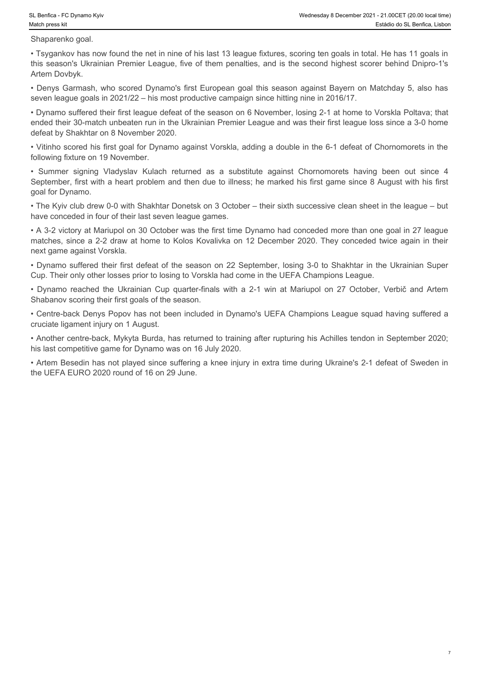7

Shaparenko goal.

• Tsygankov has now found the net in nine of his last 13 league fixtures, scoring ten goals in total. He has 11 goals in this season's Ukrainian Premier League, five of them penalties, and is the second highest scorer behind Dnipro-1's Artem Dovbyk.

• Denys Garmash, who scored Dynamo's first European goal this season against Bayern on Matchday 5, also has seven league goals in 2021/22 – his most productive campaign since hitting nine in 2016/17.

• Dynamo suffered their first league defeat of the season on 6 November, losing 2-1 at home to Vorskla Poltava; that ended their 30-match unbeaten run in the Ukrainian Premier League and was their first league loss since a 3-0 home defeat by Shakhtar on 8 November 2020.

• Vitinho scored his first goal for Dynamo against Vorskla, adding a double in the 6-1 defeat of Chornomorets in the following fixture on 19 November.

September, first with a heart problem and then due to illness; he marked his first game since 8 August with his first goal for Dynamo.

• The Kyiv club drew 0-0 with Shakhtar Donetsk on 3 October – their sixth successive clean sheet in the league – but have conceded in four of their last seven league games.

**Summer Summer Symmer Symmer Symmer Symmer Summer Summer Summer Summer Summer Shaper Shaper Shaper Shaper Shaper Shaper Shaper Summer Search Conductions Bummer Search Conductions Summer Search returned as a substitute agai** • A 3-2 victory at Mariupol on 30 October was the first time Dynamo had conceded more than one goal in 27 league matches, since a 2-2 draw at home to Kolos Kovalivka on 12 December 2020. They conceded twice again in their next game against Vorskla. • Demeno for the matter of the light of the light of the state of the Blance of the Ukrainian Cup (wavest of Control on the Ukrainian Cup Cup of the Ukrainian Cup of the Ukrainian Cup of the Ukrainian Cup of the Ukrainian

• Dynamo suffered their first defeat of the season on 22 September, losing 3-0 to Shakhtar in the Ukrainian Super Cup. Their only other losses prior to losing to Vorskla had come in the UEFA Champions League.

Shabanov scoring their first goals of the season.

• Centre-back Denys Popov has not been included in Dynamo's UEFA Champions League squad having suffered a cruciate ligament injury on 1 August.

• Another centre-back, Mykyta Burda, has returned to training after rupturing his Achilles tendon in September 2020; his last competitive game for Dynamo was on 16 July 2020.

• Artem Besedin has not played since suffering a knee injury in extra time during Ukraine's 2-1 defeat of Sweden in the UEFA EURO 2020 round of 16 on 29 June.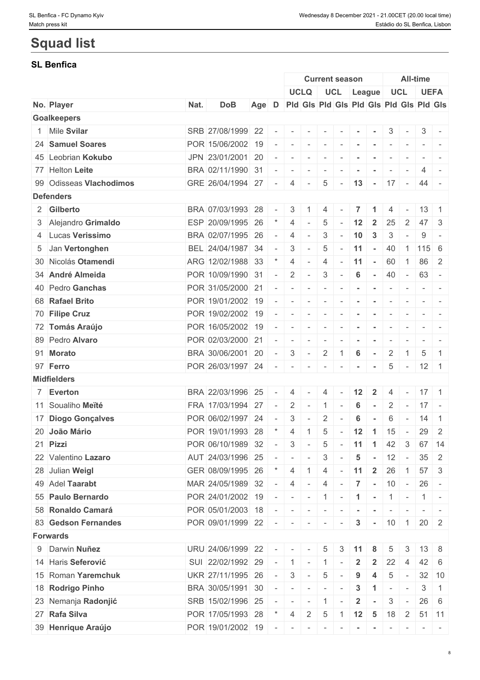# **Squad list**

# **SL Benfica**

|                         |      |                   |       |                          |                          |                                         |                          | <b>Current season</b>    |                         |                      |                          |                          | <b>All-time</b>     |                                                                  |
|-------------------------|------|-------------------|-------|--------------------------|--------------------------|-----------------------------------------|--------------------------|--------------------------|-------------------------|----------------------|--------------------------|--------------------------|---------------------|------------------------------------------------------------------|
|                         |      |                   |       |                          |                          | <b>UCLQ</b>                             |                          | UCL League               |                         |                      |                          | <b>UCL</b>               | <b>UEFA</b>         |                                                                  |
| No. Player              | Nat. | <b>DoB</b>        | Age D |                          |                          | Pid Gis Pid Gis Pid Gis Pid Gis Pid Gis |                          |                          |                         |                      |                          |                          |                     |                                                                  |
| <b>Goalkeepers</b>      |      |                   |       |                          |                          |                                         |                          |                          |                         |                      |                          |                          |                     |                                                                  |
| 1 Mile Svilar           |      | SRB 27/08/1999 22 |       |                          | $\sim$                   | $\overline{\phantom{a}}$                | $\sim$                   |                          |                         |                      | 3                        |                          | 3 <sup>1</sup>      |                                                                  |
| 24 Samuel Soares        |      | POR 15/06/2002 19 |       |                          |                          | $\sim$                                  | $\sim$                   |                          |                         |                      | $\overline{\phantom{a}}$ |                          |                     |                                                                  |
| 45 Leobrian Kokubo      |      | JPN 23/01/2001 20 |       |                          | $\overline{\phantom{a}}$ | $\sim$                                  | $\overline{\phantom{a}}$ |                          |                         |                      |                          |                          |                     |                                                                  |
| 77 Helton Leite         |      | BRA 02/11/1990 31 |       |                          | $\sim$                   | $\sim$                                  | $\sim$                   | $\sim$                   | $\sim$                  | $\sim$               | $\overline{\phantom{a}}$ | $\overline{\phantom{a}}$ | 4                   |                                                                  |
| 99 Odisseas Vlachodimos |      | GRE 26/04/1994 27 |       |                          | $\overline{4}$           | $\overline{\phantom{a}}$                | 5                        | $\sim$                   | 13                      |                      | $-17 -$                  |                          | 44 -                |                                                                  |
| <b>Defenders</b>        |      |                   |       |                          |                          |                                         |                          |                          |                         |                      |                          |                          |                     |                                                                  |
| 2 Gilberto              |      | BRA 07/03/1993 28 |       |                          | 3                        |                                         | 4                        |                          |                         |                      | 4                        |                          | 13                  |                                                                  |
| 3 Alejandro Grimaldo    |      | ESP 20/09/1995 26 |       |                          | 4                        |                                         | 5                        |                          | 12                      | $\overline{2}$       | 25                       | $\overline{2}$           | 47                  | $\mathbf{3}$                                                     |
| 4 Lucas Verissimo       |      | BRA 02/07/1995 26 |       |                          | $\overline{4}$           | $\sim$                                  | 3                        |                          | 10                      | $\mathbf{3}$         | 3                        |                          | 9                   |                                                                  |
| 5 Jan Vertonghen        |      | BEL 24/04/1987 34 |       |                          | 3                        |                                         | 5                        |                          | 11                      | $\sim$               | 40                       |                          | $1 \mid 115 \mid 6$ |                                                                  |
| 30 Nicolás Otamendi     |      | ARG 12/02/1988 33 |       |                          | $\overline{4}$           | $\sim$                                  | 4                        |                          | 11                      | $\sim$               | 60                       | $\overline{1}$           | 86 2                |                                                                  |
| 34 André Almeida        |      | POR 10/09/1990 31 |       |                          | $\overline{2}$           | $\sim$                                  | 3                        | $\overline{\phantom{a}}$ | 6                       | $\sim$               | 40                       | $\sim$                   | 63                  | $\sim$                                                           |
| 40 Pedro Ganchas        |      | POR 31/05/2000 21 |       |                          |                          |                                         | $\overline{\phantom{a}}$ |                          |                         | $\sim$               | $\overline{\phantom{a}}$ |                          | $\sim$ $-$          |                                                                  |
| 68 Rafael Brito         |      | POR 19/01/2002 19 |       |                          |                          | $\overline{\phantom{a}}$                | $\sim$                   |                          | $\,$ $\,$               | $\sim$               | $\overline{\phantom{a}}$ |                          |                     |                                                                  |
| 70 Filipe Cruz          |      | POR 19/02/2002 19 |       |                          |                          |                                         | $\overline{\phantom{a}}$ |                          |                         |                      | $\overline{\phantom{a}}$ | $\overline{\phantom{a}}$ |                     |                                                                  |
| 72 Tomás Araújo         |      | POR 16/05/2002 19 |       |                          |                          |                                         | $\overline{\phantom{a}}$ |                          |                         |                      |                          |                          |                     |                                                                  |
| 89 Pedro Alvaro         |      | POR 02/03/2000 21 |       |                          |                          |                                         |                          |                          |                         |                      |                          |                          |                     |                                                                  |
|                         |      | BRA 30/06/2001 20 |       |                          | $\overline{\phantom{a}}$ | $\overline{\phantom{0}}$                | $\overline{\phantom{a}}$ |                          |                         |                      | $\overline{\phantom{a}}$ | $\overline{1}$           |                     | $\overline{1}$                                                   |
| 91 Morato               |      |                   |       |                          | $\sqrt{3}$               | $\sim$                                  | $\overline{2}$           |                          | $6\phantom{1}6$         |                      | $\overline{2}$           |                          | 5                   |                                                                  |
| 97 Ferro                |      | POR 26/03/1997 24 |       |                          | $\overline{\phantom{a}}$ |                                         | $\overline{\phantom{a}}$ |                          |                         |                      | 5                        | $\sim$                   | $12 \mid 1$         |                                                                  |
| <b>Midfielders</b>      |      |                   |       |                          |                          |                                         |                          |                          |                         |                      |                          |                          |                     |                                                                  |
| 7 Everton               |      | BRA 22/03/1996 25 |       |                          | $\overline{4}$           |                                         | 4                        |                          | 12                      | $\mathbf{2}$         | 4                        |                          | $17 \quad 1$        |                                                                  |
| 11 Soualiho Meïté       |      | FRA 17/03/1994 27 |       | $\overline{\phantom{a}}$ | $\overline{2}$           | $\sim$                                  | $\overline{1}$           | $\overline{\phantom{a}}$ | 6                       |                      | $\overline{2}$           | $\overline{\phantom{a}}$ | $17 -$              |                                                                  |
| 17 Diogo Gonçalves      |      | POR 06/02/1997 24 |       |                          | 3                        |                                         | 2                        |                          | 6                       |                      | 6                        | $\sim$                   | 14                  | $\overline{1}$                                                   |
| 20 João Mário           |      | POR 19/01/1993 28 |       |                          | $\overline{4}$           | 1                                       | 5                        | $\sim$                   | 12                      | $-1$                 | 15                       | $\sim$                   | $29 \mid 2$         |                                                                  |
| 21 Pizzi                |      | POR 06/10/1989 32 |       |                          | 3                        | $\sim$                                  | 5                        | $\sim$                   | 11                      | $\overline{1}$       | 42                       | $\mathbf{3}$             |                     | 67 14                                                            |
| 22 Valentino Lazaro     |      | AUT 24/03/1996 25 |       |                          | $\sim$                   | $\sim$                                  | 3                        |                          | 5                       |                      | 12                       | $\overline{\phantom{a}}$ | 35                  | 2                                                                |
| 28 Julian Weigl         |      | GER 08/09/1995 26 |       |                          | 4                        |                                         | 4                        |                          | 11                      | $\overline{2}$       | 26                       | $\overline{1}$           | 57                  | $\mathbf{3}$                                                     |
| 49 Adel Taarabt         |      | MAR 24/05/1989 32 |       |                          | $\overline{4}$           |                                         | 4                        |                          | $\overline{7}$          | $\sim$               | 10                       | $\sim$ $ \sim$           | $26 -$              |                                                                  |
| 55 Paulo Bernardo       |      | POR 24/01/2002 19 |       |                          |                          | $\sim$                                  | $\pm 1 \pm$              | $\sim$                   | $\blacktriangleleft$    | $\sim$               | $1$ -                    |                          | $\vert 1 \vert$ -   |                                                                  |
| 58 Ronaldo Camará       |      | POR 05/01/2003 18 |       |                          | $\sim$                   | $\sim$                                  | $\sim$                   |                          |                         | $\sim$               | $\sim$                   | $\sim$                   |                     | $\mathcal{L} = \{ \mathcal{L} \mid \mathcal{L} = \mathcal{L} \}$ |
| 83 Gedson Fernandes     |      | POR 09/01/1999 22 |       |                          | $\sim$                   | $\sim$                                  | $\sim$                   |                          | $\mathbf{3}$            |                      | $-10$ 1                  |                          | $20 \mid 2$         |                                                                  |
| Forwards                |      |                   |       |                          |                          |                                         |                          |                          |                         |                      |                          |                          |                     |                                                                  |
| 9 Darwin Nuñez          |      | URU 24/06/1999 22 |       |                          | $-1 - 1$                 |                                         | 5                        | 3                        | -11                     | 8                    | 5                        | 3                        | 13                  | -8                                                               |
| 14 Haris Seferović      |      | SUI 22/02/1992 29 |       |                          | $\overline{1}$           | $\sim$                                  | $\overline{1}$           |                          | $\overline{2}$          | $\mathbf{2}$         | 22                       | 4                        | 42 6                |                                                                  |
| 15 Roman Yaremchuk      |      | UKR 27/11/1995 26 |       |                          | 3                        | $\overline{\phantom{a}}$                | $\overline{5}$           |                          | 9                       | 4                    | 5                        | $\sim$                   |                     | $32 \mid 10$                                                     |
| 18 Rodrigo Pinho        |      | BRA 30/05/1991 30 |       | $\sim$                   | $\sim$                   | $\sim$                                  | $\sim$                   |                          | $\mathbf{3}$            | $\blacktriangleleft$ | $\overline{\phantom{a}}$ | $\overline{\phantom{a}}$ | 3                   | $\overline{1}$                                                   |
| 23 Nemanja Radonjić     |      | SRB 15/02/1996 25 |       |                          | $\overline{\phantom{a}}$ |                                         | $\overline{1}$           |                          | $\overline{\mathbf{2}}$ |                      | 3                        | $\overline{\phantom{a}}$ | $26 \quad 6$        |                                                                  |
|                         |      |                   |       |                          |                          | $\sim$                                  |                          |                          |                         |                      |                          |                          |                     |                                                                  |
| 27 Rafa Silva           |      | POR 17/05/1993 28 |       |                          | $\overline{4}$           | $\overline{2}$                          | $5\phantom{.0}$          | 1                        | $12 \quad 5$            |                      | 18                       | $\overline{2}$           |                     | $51$ 11                                                          |
| 39 Henrique Araújo      |      | POR 19/01/2002 19 |       | $\sim$                   | $\sim$                   | $\sim$                                  | $\overline{\phantom{a}}$ |                          |                         |                      |                          |                          | $-1$                | $\sim$                                                           |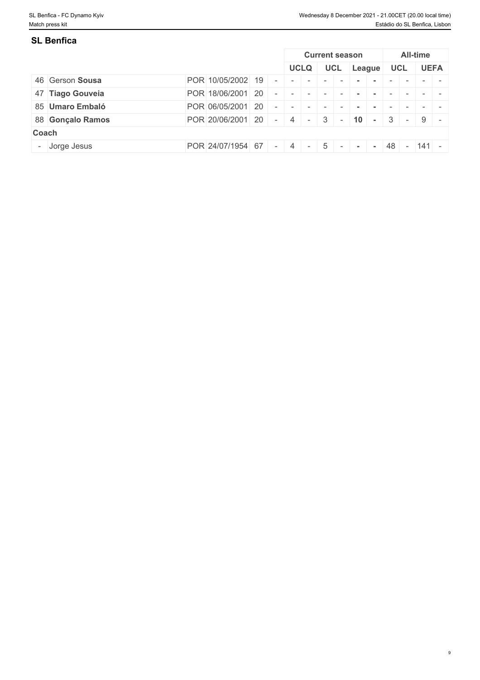9

| SL Benfica       |                   |  |             |            |                       |                    |    |            |                 |                          |
|------------------|-------------------|--|-------------|------------|-----------------------|--------------------|----|------------|-----------------|--------------------------|
|                  |                   |  |             |            | <b>Current season</b> |                    |    |            | <b>All-time</b> |                          |
|                  |                   |  | <b>UCLQ</b> | <b>UCL</b> |                       | League             |    | <b>UCL</b> |                 | <b>UEFA</b>              |
| 46 Gerson Sousa  | POR 10/05/2002 19 |  |             |            |                       |                    |    |            |                 |                          |
| 47 Tiago Gouveia | POR 18/06/2001 20 |  |             |            |                       |                    |    |            |                 |                          |
| 85 Umaro Embaló  | POR 06/05/2001 20 |  |             |            |                       |                    |    |            |                 |                          |
| 88 Gonçalo Ramos | POR 20/06/2001 20 |  | 4 -         | $3 -$      |                       | $ 10  -  3  -  9 $ |    |            |                 | $\overline{\phantom{0}}$ |
| Coach            |                   |  |             |            |                       |                    |    |            |                 |                          |
| - Jorge Jesus    | POR 24/07/1954 67 |  | $\sim$      | $\sim$ $-$ |                       |                    | 48 |            | $-$ 141 $-$     |                          |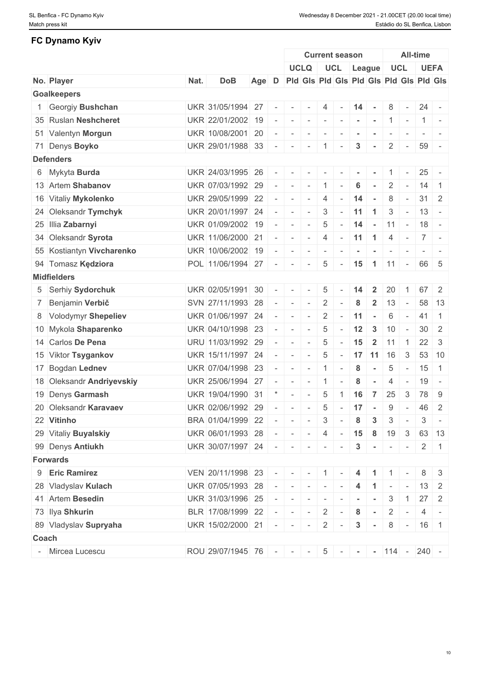# **FC Dynamo Kyiv**

|       |                           |      |                           |       |                          |                                                                                                                                                                                                                                                                                                                                                                                                                                   |                                                                                                                                                                                                                                                                                                                                                                                                                                                      | <b>Current season</b> |                                                                                                   |                |                |                |                          | <b>All-time</b>                         |                              |
|-------|---------------------------|------|---------------------------|-------|--------------------------|-----------------------------------------------------------------------------------------------------------------------------------------------------------------------------------------------------------------------------------------------------------------------------------------------------------------------------------------------------------------------------------------------------------------------------------|------------------------------------------------------------------------------------------------------------------------------------------------------------------------------------------------------------------------------------------------------------------------------------------------------------------------------------------------------------------------------------------------------------------------------------------------------|-----------------------|---------------------------------------------------------------------------------------------------|----------------|----------------|----------------|--------------------------|-----------------------------------------|------------------------------|
|       |                           |      |                           |       |                          |                                                                                                                                                                                                                                                                                                                                                                                                                                   | <b>UCLQ</b>                                                                                                                                                                                                                                                                                                                                                                                                                                          |                       |                                                                                                   | UCL League     |                |                | <b>UCL</b>               |                                         | <b>UEFA</b>                  |
|       | No. Player                | Nat. | <b>DoB</b>                | Age D |                          |                                                                                                                                                                                                                                                                                                                                                                                                                                   |                                                                                                                                                                                                                                                                                                                                                                                                                                                      |                       |                                                                                                   |                |                |                |                          | Pid Gis Pid Gis Pid Gis Pid Gis Pid Gis |                              |
|       | <b>Goalkeepers</b>        |      |                           |       |                          |                                                                                                                                                                                                                                                                                                                                                                                                                                   |                                                                                                                                                                                                                                                                                                                                                                                                                                                      |                       |                                                                                                   |                |                |                |                          |                                         |                              |
|       | 1 Georgiy Bushchan        |      | UKR 31/05/1994 27         |       | $\sim$                   | $\sim$                                                                                                                                                                                                                                                                                                                                                                                                                            | $\sim$                                                                                                                                                                                                                                                                                                                                                                                                                                               | 4                     |                                                                                                   | 14             | $\sim$         | 8              | $\sim$                   |                                         | $24 -$                       |
|       | 35 Ruslan Neshcheret      |      | UKR 22/01/2002 19         |       |                          | $\sim$                                                                                                                                                                                                                                                                                                                                                                                                                            | $\sim$                                                                                                                                                                                                                                                                                                                                                                                                                                               | $\mathbb{R}$          | $\begin{array}{cccccccccc} \bullet & \bullet & \bullet & \bullet & \bullet & \bullet \end{array}$ |                | $\sim$         | $1 -$          |                          |                                         | $1 -$                        |
|       | 51 Valentyn Morgun        |      | UKR 10/08/2001 20         |       |                          | $\sim$                                                                                                                                                                                                                                                                                                                                                                                                                            | $\sim$                                                                                                                                                                                                                                                                                                                                                                                                                                               | $\sim$                |                                                                                                   |                |                |                |                          |                                         |                              |
|       | 71 Denys Boyko            |      | UKR 29/01/1988 33         |       | $\sim$                   | $\sim$                                                                                                                                                                                                                                                                                                                                                                                                                            | $\sim$                                                                                                                                                                                                                                                                                                                                                                                                                                               | $\in \mathbf{1}^{-1}$ | $\overline{\phantom{a}}$                                                                          | 3              | $\sim$         | $\overline{2}$ | $\sim$ $-$               | 59                                      |                              |
|       | <b>Defenders</b>          |      |                           |       |                          |                                                                                                                                                                                                                                                                                                                                                                                                                                   |                                                                                                                                                                                                                                                                                                                                                                                                                                                      |                       |                                                                                                   |                |                |                |                          |                                         |                              |
|       | 6 Mykyta Burda            |      | UKR 24/03/1995 26         |       |                          |                                                                                                                                                                                                                                                                                                                                                                                                                                   |                                                                                                                                                                                                                                                                                                                                                                                                                                                      |                       |                                                                                                   |                |                |                |                          | 25                                      |                              |
|       | 13 Artem Shabanov         |      | UKR 07/03/1992 29         |       | $\sim$                   | $\sim$                                                                                                                                                                                                                                                                                                                                                                                                                            | $\sim$                                                                                                                                                                                                                                                                                                                                                                                                                                               | $\overline{1}$        | $\overline{\phantom{a}}$                                                                          | 6              | $\sim$         | $\overline{2}$ | $\sim$                   | 14                                      | $\overline{1}$               |
|       | 16 Vitaliy Mykolenko      |      | UKR 29/05/1999 22         |       |                          | $\sim$                                                                                                                                                                                                                                                                                                                                                                                                                            | $\sim$                                                                                                                                                                                                                                                                                                                                                                                                                                               | 4                     | $\sim$                                                                                            | 14             | $\sim$         | 8              | $\overline{\phantom{a}}$ |                                         | $31 \quad 2$                 |
|       | 24 Oleksandr Tymchyk      |      | UKR 20/01/1997 24         |       |                          | $\sim$                                                                                                                                                                                                                                                                                                                                                                                                                            | $\sim$                                                                                                                                                                                                                                                                                                                                                                                                                                               | $\mathbf{3}$          | $\sim$                                                                                            | 11             | $\overline{1}$ | 3              | $\sim$ $-$               |                                         | $13 -$                       |
|       | 25 Illia Zabarnyi         |      | UKR 01/09/2002 19         |       | $\sim$                   | $\sim$                                                                                                                                                                                                                                                                                                                                                                                                                            | $\sim$                                                                                                                                                                                                                                                                                                                                                                                                                                               | 5                     | $\sim$                                                                                            | 14             | $\sim$         | 11             | $\mathbf{r}$             |                                         | $18 -$                       |
|       | 34 Oleksandr Syrota       |      | UKR 11/06/2000 21         |       | $\sim$                   | $\sim$                                                                                                                                                                                                                                                                                                                                                                                                                            | $\sim$                                                                                                                                                                                                                                                                                                                                                                                                                                               | $\overline{4}$        | $\sim$                                                                                            | $11 \quad 1$   |                | $\overline{4}$ | $\sim$                   | $ 7 $ -                                 |                              |
|       | 55 Kostiantyn Vivcharenko |      | UKR 10/06/2002 19         |       |                          | $\sim$                                                                                                                                                                                                                                                                                                                                                                                                                            | $\sim$                                                                                                                                                                                                                                                                                                                                                                                                                                               | $\sim$                | $\sim$                                                                                            | $\sim$         | $\sim$         | $\sim$         | $\sim$                   |                                         | $\sim$ 100 $\sim$ 100 $\sim$ |
|       | 94 Tomasz Kędziora        |      | POL 11/06/1994 27         |       | $\sim$                   | $\sim$                                                                                                                                                                                                                                                                                                                                                                                                                            | $\sim$                                                                                                                                                                                                                                                                                                                                                                                                                                               | 5                     | $\sim$                                                                                            | 15             | $\overline{1}$ | $11 -$         |                          |                                         | 66 5                         |
|       | <b>Midfielders</b>        |      |                           |       |                          |                                                                                                                                                                                                                                                                                                                                                                                                                                   |                                                                                                                                                                                                                                                                                                                                                                                                                                                      |                       |                                                                                                   |                |                |                |                          |                                         |                              |
|       | 5 Serhiy Sydorchuk        |      | UKR 02/05/1991 30         |       |                          |                                                                                                                                                                                                                                                                                                                                                                                                                                   | $\sim$                                                                                                                                                                                                                                                                                                                                                                                                                                               | 5 <sup>5</sup>        |                                                                                                   | 14             | $\mathbf{2}$   | 20             |                          |                                         | $67$ 2                       |
|       | 7 Benjamin Verbič         |      | SVN 27/11/1993 28         |       | $\sim$                   | $\mathbf{r} = \mathbf{r}$                                                                                                                                                                                                                                                                                                                                                                                                         | $\sim$                                                                                                                                                                                                                                                                                                                                                                                                                                               | 2                     | $\overline{\phantom{a}}$                                                                          | 8              | $\overline{2}$ | 13             | $\overline{\phantom{a}}$ |                                         | 58 13                        |
|       | 8 Volodymyr Shepeliev     |      | UKR 01/06/1997 24         |       | $\sim$                   | $\sim$                                                                                                                                                                                                                                                                                                                                                                                                                            | $\sim$                                                                                                                                                                                                                                                                                                                                                                                                                                               | $\overline{2}$        | $\sim$                                                                                            | 11             | $\sim$         | 6              | $\overline{\phantom{a}}$ | 41                                      | $\vert$ 1                    |
|       | 10 Mykola Shaparenko      |      | UKR 04/10/1998 23         |       |                          | $\sim$                                                                                                                                                                                                                                                                                                                                                                                                                            | $\sim$                                                                                                                                                                                                                                                                                                                                                                                                                                               | 5                     |                                                                                                   | 12             | $\mathbf{3}$   | 10             | $\sim$                   |                                         | $30 \mid 2$                  |
|       | 14 Carlos De Pena         |      | URU 11/03/1992 29         |       |                          | $\sim$                                                                                                                                                                                                                                                                                                                                                                                                                            | $\sim$                                                                                                                                                                                                                                                                                                                                                                                                                                               | 5                     | $\sim$                                                                                            | 15             | $\overline{2}$ | 11             | $\vert$ 1                |                                         | $22 \mid 3$                  |
|       | 15 Viktor Tsygankov       |      | UKR 15/11/1997 24         |       | $\sim$                   | $\sim$                                                                                                                                                                                                                                                                                                                                                                                                                            | $\sim$                                                                                                                                                                                                                                                                                                                                                                                                                                               | 5                     | $\sim$                                                                                            | $17$ 11 16     |                |                | $\mathbf{3}$             |                                         | 53 10                        |
|       | 17 Bogdan Lednev          |      | UKR 07/04/1998 23         |       | $\overline{\phantom{a}}$ | $\sim$                                                                                                                                                                                                                                                                                                                                                                                                                            | $\sim$                                                                                                                                                                                                                                                                                                                                                                                                                                               | $\pm$ 1 $\pm$         | $\overline{\phantom{a}}$                                                                          | 8              | $\sim$         | $\overline{5}$ | $\sim$ $-$               | 15                                      | $\overline{1}$               |
|       | 18 Oleksandr Andriyevskiy |      | UKR 25/06/1994 27         |       |                          | $\sim$                                                                                                                                                                                                                                                                                                                                                                                                                            | $\sim$                                                                                                                                                                                                                                                                                                                                                                                                                                               | $\mathbf{1}$          | $\overline{\phantom{a}}$                                                                          | 8              | $\sim$         | 4              | $\sim$                   | 19                                      | $\sim$                       |
|       | 19 Denys Garmash          |      | UKR 19/04/1990 31         |       |                          | $\sim$                                                                                                                                                                                                                                                                                                                                                                                                                            | $\sim$                                                                                                                                                                                                                                                                                                                                                                                                                                               | 5                     |                                                                                                   | 16             | $\overline{7}$ | 25             | 3                        | 78                                      | -9                           |
|       | 20 Oleksandr Karavaev     |      | UKR 02/06/1992 29         |       |                          | $\sim$                                                                                                                                                                                                                                                                                                                                                                                                                            | $\sim$                                                                                                                                                                                                                                                                                                                                                                                                                                               | 5                     |                                                                                                   | $-17$          | $\sim$         | 9              | $\sim$ $-$               |                                         | 46 2                         |
|       | 22 Vitinho                |      | BRA 01/04/1999 22         |       |                          |                                                                                                                                                                                                                                                                                                                                                                                                                                   | $\mathbf{r} = \mathbf{r}$                                                                                                                                                                                                                                                                                                                                                                                                                            | $\mathcal{S}$         | $\sim$                                                                                            | 8              | $\mathbf{3}$   | 3              | $\overline{\phantom{a}}$ | 3                                       | $\sim$                       |
|       | 29 Vitaliy Buyalskiy      |      | UKR 06/01/1993 28         |       |                          |                                                                                                                                                                                                                                                                                                                                                                                                                                   | $   4$ $ 15$ 8                                                                                                                                                                                                                                                                                                                                                                                                                                       |                       |                                                                                                   |                |                | 19             | 3 <sup>1</sup>           |                                         | 63 13                        |
|       | 99 Denys Antiukh          |      | UKR 30/07/1997 24 - - - - |       |                          |                                                                                                                                                                                                                                                                                                                                                                                                                                   |                                                                                                                                                                                                                                                                                                                                                                                                                                                      |                       | $\sim$                                                                                            | $\mathbf{3}$   | $\sim$ $-$     |                |                          |                                         | $2 \mid 1$                   |
|       | <b>Forwards</b>           |      |                           |       |                          |                                                                                                                                                                                                                                                                                                                                                                                                                                   |                                                                                                                                                                                                                                                                                                                                                                                                                                                      |                       |                                                                                                   |                |                |                |                          |                                         |                              |
|       | 9 Eric Ramirez            |      | VEN 20/11/1998 23         |       |                          |                                                                                                                                                                                                                                                                                                                                                                                                                                   | $    1$ $-$                                                                                                                                                                                                                                                                                                                                                                                                                                          |                       |                                                                                                   | 4              | $\overline{1}$ | $1 -$          |                          |                                         | $8 \mid 3$                   |
|       | 28 Vladyslav Kulach       |      | UKR 07/05/1993 28         |       |                          |                                                                                                                                                                                                                                                                                                                                                                                                                                   | $\label{eq:2.1} \begin{array}{lllllllllllllllll} \mathbf{1}_{\mathbf{1}_{\mathbf{1}_{\mathbf{1}_{\mathbf{1}_{\mathbf{1}_{\mathbf{1}}}}}}\mathbf{1}_{\mathbf{1}_{\mathbf{1}_{\mathbf{1}}}}\mathbf{1}_{\mathbf{1}_{\mathbf{1}_{\mathbf{1}}}}\mathbf{1}_{\mathbf{1}_{\mathbf{1}_{\mathbf{1}}}}\mathbf{1}_{\mathbf{1}_{\mathbf{1}_{\mathbf{1}}}}\mathbf{1}_{\mathbf{1}_{\mathbf{1}_{\mathbf{1}}}}\mathbf{1}_{\mathbf{1}_{\mathbf{1}_{\mathbf{1}}}}\math$ |                       | $\sim$                                                                                            | $\overline{4}$ | $\overline{1}$ | $\sim$         | $\mathbf{r}$             |                                         | $13 \quad 2$                 |
|       | 41 Artem Besedin          |      | UKR 31/03/1996 25         |       |                          |                                                                                                                                                                                                                                                                                                                                                                                                                                   |                                                                                                                                                                                                                                                                                                                                                                                                                                                      |                       | $\sim$                                                                                            |                |                | 3              | $\perp$ 1                |                                         | $27 \quad 2$                 |
|       | 73 Ilya Shkurin           |      | BLR 17/08/1999 22         |       |                          |                                                                                                                                                                                                                                                                                                                                                                                                                                   | $-1 - 1 - 1 - 1$                                                                                                                                                                                                                                                                                                                                                                                                                                     | $2$ -                 |                                                                                                   | 8              | $\sim$ $-$     |                | $2$ -                    |                                         | $4$ -                        |
|       | 89 Vladyslav Supryaha     |      | UKR 15/02/2000 21         |       |                          | $\label{eq:2.1} \begin{array}{cccccccccc} \mathbf{a} & \mathbf{b} & \mathbf{c} & \mathbf{c} & \mathbf{c} & \mathbf{c} & \mathbf{c} & \mathbf{c} & \mathbf{c} & \mathbf{c} & \mathbf{c} & \mathbf{c} & \mathbf{c} & \mathbf{c} & \mathbf{c} & \mathbf{c} & \mathbf{c} & \mathbf{c} & \mathbf{c} & \mathbf{c} & \mathbf{c} & \mathbf{c} & \mathbf{c} & \mathbf{c} & \mathbf{c} & \mathbf{c} & \mathbf{c} & \mathbf{c} & \mathbf{c}$ |                                                                                                                                                                                                                                                                                                                                                                                                                                                      | $2 \mid$              | $\sim$                                                                                            | $\mathbf{3}$   | $\sim$         |                |                          | $8 - 16$ 1                              |                              |
| Coach |                           |      |                           |       |                          |                                                                                                                                                                                                                                                                                                                                                                                                                                   |                                                                                                                                                                                                                                                                                                                                                                                                                                                      |                       |                                                                                                   |                |                |                |                          |                                         |                              |
|       | - Mircea Lucescu          |      | ROU 29/07/1945 76 - - -   |       |                          |                                                                                                                                                                                                                                                                                                                                                                                                                                   |                                                                                                                                                                                                                                                                                                                                                                                                                                                      |                       |                                                                                                   |                |                |                |                          | $5$ - - - 114 - 240 -                   |                              |
|       |                           |      |                           |       |                          |                                                                                                                                                                                                                                                                                                                                                                                                                                   |                                                                                                                                                                                                                                                                                                                                                                                                                                                      |                       |                                                                                                   |                |                |                |                          |                                         |                              |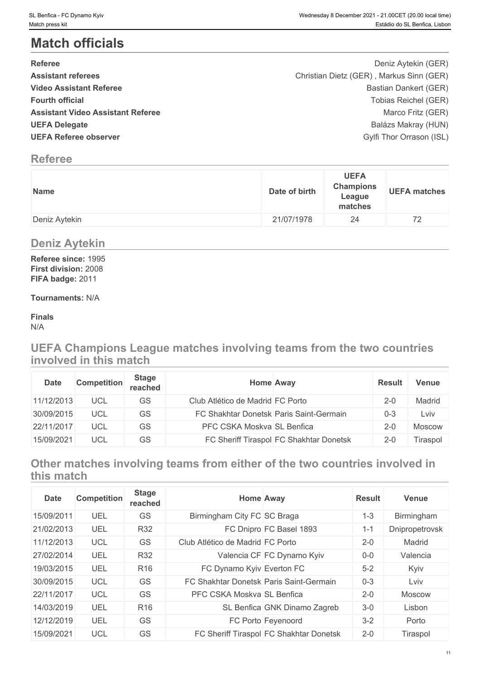# **Match officials**

| <b>Referee</b>                           | Deniz Aytekin (GER)                      |  |
|------------------------------------------|------------------------------------------|--|
| <b>Assistant referees</b>                | Christian Dietz (GER), Markus Sinn (GER) |  |
| <b>Video Assistant Referee</b>           | Bastian Dankert (GER)                    |  |
| <b>Fourth official</b>                   | Tobias Reichel (GER)                     |  |
| <b>Assistant Video Assistant Referee</b> | Marco Fritz (GER)                        |  |
| <b>UEFA Delegate</b>                     | Balázs Makray (HUN)                      |  |
| <b>UEFA Referee observer</b>             | Gylfi Thor Orrason (ISL)                 |  |
|                                          |                                          |  |

# **Referee**

| Name          | <b>UEFA</b><br><b>Champions</b><br>Date of birth<br>League<br>matches | <b>UEFA matches</b> |
|---------------|-----------------------------------------------------------------------|---------------------|
| Deniz Aytekin | 21/07/1978<br>24                                                      | 72                  |

# **Deniz Aytekin**

**Referee since:** 1995 **First division:** 2008 **FIFA badge:** 2011

# **Tournaments:** N/A

**Finals** N/A

**UEFA Champions League matches involving teams from the two countries involved in this match**

| <b>Date</b> | <b>Competition</b> | Stage<br>reached | <b>Home Away</b>                        | <b>Result</b> | Venue    |
|-------------|--------------------|------------------|-----------------------------------------|---------------|----------|
| 11/12/2013  | <b>UCL</b>         | GS               | Club Atlético de Madrid FC Porto        | $2 - 0$       | Madrid   |
| 30/09/2015  | <b>UCL</b>         | GS               | FC Shakhtar Donetsk Paris Saint-Germain | $0 - 3$       | ∟VİV     |
| 22/11/2017  | <b>UCL</b>         | GS               | PFC CSKA Moskva SL Benfica              | 2-0           | Moscow   |
| 15/09/2021  | UCL                | GS               | FC Sheriff Tiraspol FC Shakhtar Donetsk | $2 - 0$       | Tiraspol |

**Other matches involving teams from either of the two countries involved in this match**

| <b>Date</b> | <b>Competition</b> | <b>Stage</b><br>reached | Home Away                               |                                         | <b>Result</b> | <b>Venue</b>   |
|-------------|--------------------|-------------------------|-----------------------------------------|-----------------------------------------|---------------|----------------|
| 15/09/2011  | UEL                | GS                      | Birmingham City FC SC Braga             |                                         | $1 - 3$       | Birmingham     |
| 21/02/2013  | UEL                | <b>R32</b>              |                                         | FC Dnipro FC Basel 1893                 | $1 - 1$       | Dnipropetrovsk |
| 11/12/2013  | <b>UCL</b>         | <b>GS</b>               | Club Atlético de Madrid FC Porto        |                                         | $2 - 0$       | Madrid         |
| 27/02/2014  | UEL                | <b>R32</b>              |                                         | Valencia CF FC Dynamo Kyiv              | $0-0$         | Valencia       |
| 19/03/2015  | UEL                | R <sub>16</sub>         | FC Dynamo Kyiv Everton FC               |                                         | $5-2$         | Kyiv           |
| 30/09/2015  | <b>UCL</b>         | GS                      | FC Shakhtar Donetsk Paris Saint-Germain |                                         | $0 - 3$       | Lviv           |
| 22/11/2017  | <b>UCL</b>         | GS                      | PFC CSKA Moskva SL Benfica              |                                         | $2 - 0$       | Moscow         |
| 14/03/2019  | UEL                | R <sub>16</sub>         |                                         | SL Benfica GNK Dinamo Zagreb            | $3-0$         | Lisbon         |
| 12/12/2019  | UEL                | GS                      |                                         | FC Porto Feyenoord                      | $3 - 2$       | Porto          |
| 15/09/2021  | <b>UCL</b>         | GS                      |                                         | FC Sheriff Tiraspol FC Shakhtar Donetsk | $2 - 0$       | Tiraspol       |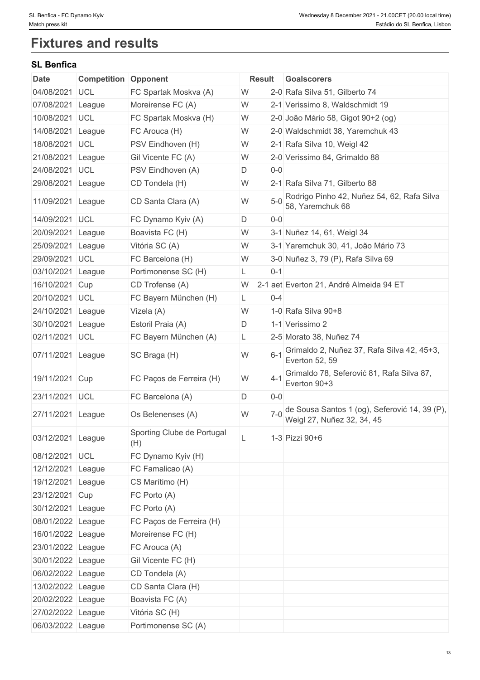# **Fixtures and results**

# **SL Benfica**

| <b>Date</b>       | <b>Competition Opponent</b> |                                   |   | Result  | <b>Goalscorers</b>                                                          |
|-------------------|-----------------------------|-----------------------------------|---|---------|-----------------------------------------------------------------------------|
| 04/08/2021        | UCL                         | FC Spartak Moskva (A)             | W |         | 2-0 Rafa Silva 51, Gilberto 74                                              |
| 07/08/2021        | League                      | Moreirense FC (A)                 | W |         | 2-1 Verissimo 8, Waldschmidt 19                                             |
| 10/08/2021        | <b>UCL</b>                  | FC Spartak Moskva (H)             | W |         | 2-0 João Mário 58, Gigot 90+2 (og)                                          |
| 14/08/2021        | League                      | FC Arouca (H)                     | W |         | 2-0 Waldschmidt 38, Yaremchuk 43                                            |
| 18/08/2021        | UCL                         | PSV Eindhoven (H)                 | W |         | 2-1 Rafa Silva 10, Weigl 42                                                 |
| 21/08/2021        | League                      | Gil Vicente FC (A)                | W |         | 2-0 Verissimo 84, Grimaldo 88                                               |
| 24/08/2021        | <b>UCL</b>                  | PSV Eindhoven (A)                 | D | $0-0$   |                                                                             |
| 29/08/2021 League |                             | CD Tondela (H)                    | W |         | 2-1 Rafa Silva 71, Gilberto 88                                              |
| 11/09/2021 League |                             | CD Santa Clara (A)                | W | $5-0$   | Rodrigo Pinho 42, Nuñez 54, 62, Rafa Silva<br>58, Yaremchuk 68              |
| 14/09/2021        | <b>UCL</b>                  | FC Dynamo Kyiv (A)                | D | $0-0$   |                                                                             |
| 20/09/2021        | League                      | Boavista FC (H)                   | W |         | 3-1 Nuñez 14, 61, Weigl 34                                                  |
| 25/09/2021        | League                      | Vitória SC (A)                    | W |         | 3-1 Yaremchuk 30, 41, João Mário 73                                         |
| 29/09/2021        | <b>UCL</b>                  | FC Barcelona (H)                  | W |         | 3-0 Nuñez 3, 79 (P), Rafa Silva 69                                          |
| 03/10/2021        | League                      | Portimonense SC (H)               | L | $0 - 1$ |                                                                             |
| 16/10/2021        | Cup                         | CD Trofense (A)                   | W |         | 2-1 aet Everton 21, André Almeida 94 ET                                     |
| 20/10/2021        | <b>UCL</b>                  | FC Bayern München (H)             | L | $0 - 4$ |                                                                             |
| 24/10/2021        | League                      | Vizela (A)                        | W |         | 1-0 Rafa Silva 90+8                                                         |
| 30/10/2021        | League                      | Estoril Praia (A)                 | D |         | 1-1 Verissimo 2                                                             |
| 02/11/2021 UCL    |                             | FC Bayern München (A)             | L |         | 2-5 Morato 38, Nuñez 74                                                     |
| 07/11/2021        | League                      | SC Braga (H)                      | W | $6 - 1$ | Grimaldo 2, Nuñez 37, Rafa Silva 42, 45+3,<br>Everton 52, 59                |
| 19/11/2021        | <b>Cup</b>                  | FC Paços de Ferreira (H)          | W | $4 - 1$ | Grimaldo 78, Seferović 81, Rafa Silva 87,<br>Everton 90+3                   |
| 23/11/2021 UCL    |                             | FC Barcelona (A)                  | D | $0-0$   |                                                                             |
| 27/11/2021        | League                      | Os Belenenses (A)                 | W | $7 - 0$ | de Sousa Santos 1 (og), Seferović 14, 39 (P),<br>Weigl 27, Nuñez 32, 34, 45 |
| 03/12/2021 League |                             | Sporting Clube de Portugal<br>(H) |   |         | 1-3 Pizzi 90+6                                                              |
| 08/12/2021 UCL    |                             | FC Dynamo Kyiv (H)                |   |         |                                                                             |
| 12/12/2021 League |                             | FC Famalicao (A)                  |   |         |                                                                             |
| 19/12/2021 League |                             | CS Marítimo (H)                   |   |         |                                                                             |
| 23/12/2021 Cup    |                             | FC Porto (A)                      |   |         |                                                                             |
| 30/12/2021 League |                             | FC Porto (A)                      |   |         |                                                                             |
| 08/01/2022 League |                             | FC Paços de Ferreira (H)          |   |         |                                                                             |
| 16/01/2022 League |                             | Moreirense FC (H)                 |   |         |                                                                             |
| 23/01/2022 League |                             | FC Arouca (A)                     |   |         |                                                                             |
| 30/01/2022 League |                             | Gil Vicente FC (H)                |   |         |                                                                             |
| 06/02/2022 League |                             | CD Tondela (A)                    |   |         |                                                                             |
| 13/02/2022 League |                             | CD Santa Clara (H)                |   |         |                                                                             |
| 20/02/2022 League |                             | Boavista FC (A)                   |   |         |                                                                             |
| 27/02/2022 League |                             | Vitória SC (H)                    |   |         |                                                                             |
| 06/03/2022 League |                             | Portimonense SC (A)               |   |         |                                                                             |
|                   |                             |                                   |   |         |                                                                             |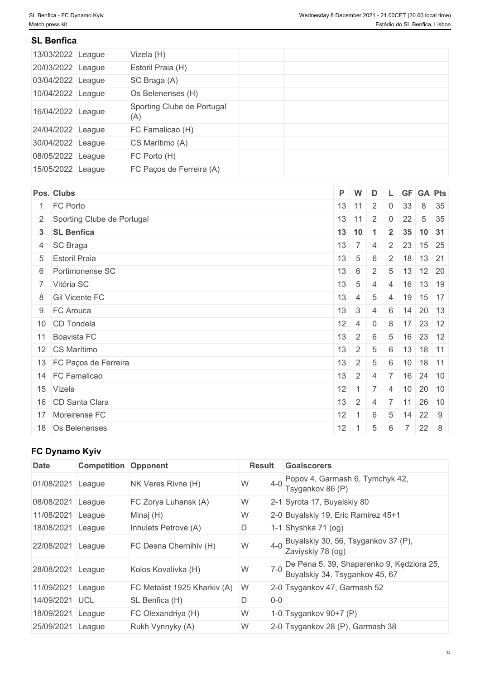# **SL Benfica**

| 13/03/2022 League | Vizela (H)                        |  |
|-------------------|-----------------------------------|--|
| 20/03/2022 League | Estoril Praia (H)                 |  |
| 03/04/2022 League | SC Braga (A)                      |  |
| 10/04/2022 League | Os Belenenses (H)                 |  |
| 16/04/2022 League | Sporting Clube de Portugal<br>(A) |  |
| 24/04/2022 League | FC Famalicao (H)                  |  |
| 30/04/2022 League | CS Marítimo (A)                   |  |
| 08/05/2022 League | FC Porto (H)                      |  |
| 15/05/2022 League | FC Paços de Ferreira (A)          |  |

| Pos. Clubs                   | P W              |                                         | D              |                |                 | L GF GA Pts                 |  |
|------------------------------|------------------|-----------------------------------------|----------------|----------------|-----------------|-----------------------------|--|
| 1 FC Porto                   |                  | $13 \mid 11 \mid 2 \mid 0 \mid 33 \mid$ |                |                |                 | 8 35                        |  |
| 2 Sporting Clube de Portugal |                  | $13$ 11 2                               |                | $\pm$ 0 $\pm$  | 22              | $5 \quad 35$                |  |
| 3 SL Benfica                 | $13 \mid 10$     |                                         | $\overline{1}$ |                |                 | $2 \mid 35 \mid 10 \mid 31$ |  |
| 4 SC Braga                   |                  | $13 \mid 7$                             | $\overline{4}$ |                |                 | 2 23 15 25                  |  |
| 5 Estoril Praia              | $13 \mid 5$      |                                         | 6              |                |                 | $2 \mid 18 \mid 13 \mid 21$ |  |
| 6 Portimonense SC            | $13 \mid 6$      |                                         | $2^{\circ}$    |                |                 | $5 \mid 13 \mid 12 \mid 20$ |  |
| 7 Vitória SC                 | $13 \quad 5$     |                                         | 4              |                |                 | 4 16 13 19                  |  |
| 8 Gil Vicente FC             | 13               | 4                                       | 5              | $\overline{4}$ | 19              | $15$ 17                     |  |
| 9 FC Arouca                  | 13               | $\overline{3}$                          | $\overline{4}$ | 6              |                 | $14$ 20 13                  |  |
| 10 CD Tondela                | $12 \mid 4 \mid$ |                                         | $\overline{0}$ | 8              |                 | $17$ 23 12                  |  |
| 11 Boavista FC               | 13               | $+2$                                    | 6              | 5              |                 | $16$ 23 12                  |  |
| 12 CS Marítimo               | 13               | $\cdot$   2                             | -5             | 6              |                 | $13$ 18 11                  |  |
| 13 FC Paços de Ferreira      | 13               | 2                                       | 5              | 6              |                 | $10$ 18 11                  |  |
| 14 FC Famalicao              | 13               | $\mathbf{1}$ 2 $\mathbf{1}$             | $\overline{4}$ |                |                 | 7 16 24 10                  |  |
| 15 Vizela                    |                  | $12 \mid 1 \mid 7$                      |                | 4              |                 | $10 \ 20 \ 10$              |  |
| 16 CD Santa Clara            | 13               | $\overline{2}$                          | 4              |                |                 | 7 11 26 10                  |  |
| 17 Moreirense FC             | 12               |                                         | 6              | 5              | 14              | $22 \quad 9$                |  |
| 18 Os Belenenses             | 12               |                                         | 5              | 6              | $7\overline{ }$ | $22 \quad 8$                |  |

# **FC Dynamo Kyiv**

| <b>Date</b> | <b>Competition Opponent</b> |                              | <b>Result</b> | <b>Goalscorers</b>                                                          |
|-------------|-----------------------------|------------------------------|---------------|-----------------------------------------------------------------------------|
| 01/08/2021  | League                      | NK Veres Rivne (H)           | $4-0$<br>W    | Popov 4, Garmash 6, Tymchyk 42,<br>Tsygankov 86 (P)                         |
| 08/08/2021  | League                      | FC Zorya Luhansk (A)         | W             | 2-1 Syrota 17, Buyalskiy 80                                                 |
| 11/08/2021  | League                      | Minaj (H)                    | W             | 2-0 Buyalskiy 19, Eric Ramirez 45+1                                         |
| 18/08/2021  | League                      | Inhulets Petrove (A)         | D             | 1-1 Shyshka $71$ (og)                                                       |
| 22/08/2021  | League                      | FC Desna Chernihiv (H)       | $4 - 0$<br>W  | Buyalskiy 30, 56, Tsygankov 37 (P),<br>Zaviyskiy 78 (og)                    |
| 28/08/2021  | League                      | Kolos Kovalivka (H)          | $7-0$<br>W    | De Pena 5, 39, Shaparenko 9, Kędziora 25,<br>Buyalskiy 34, Tsygankov 45, 67 |
| 11/09/2021  | League                      | FC Metalist 1925 Kharkiv (A) | W             | 2-0 Tsygankov 47, Garmash 52                                                |
| 14/09/2021  | <b>UCL</b>                  | SL Benfica (H)               | D<br>$0 - 0$  |                                                                             |
| 18/09/2021  | League                      | FC Olexandriya (H)           | W             | 1-0 Tsygankov 90+7 $(P)$                                                    |
| 25/09/2021  | League                      | Rukh Vynnyky (A)             | W             | 2-0 Tsygankov 28 (P), Garmash 38                                            |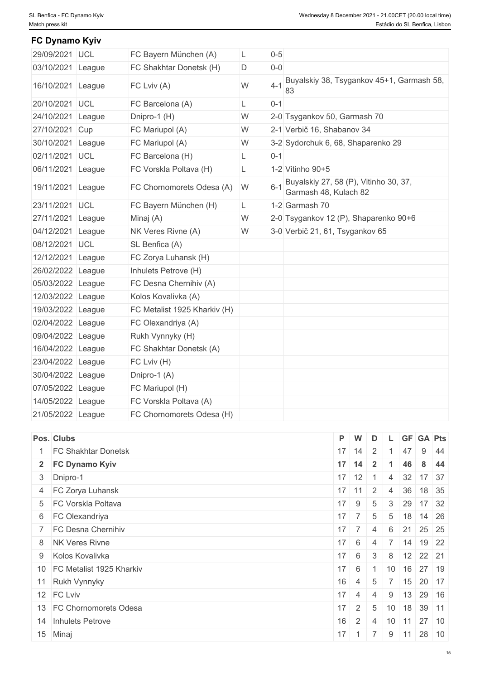| FC Dynamo Kyiv    |                              |    |         |                                                                |
|-------------------|------------------------------|----|---------|----------------------------------------------------------------|
| 29/09/2021 UCL    | FC Bayern München (A)        | L  | $0-5$   |                                                                |
| 03/10/2021 League | FC Shakhtar Donetsk (H)      | D  | $0-0$   |                                                                |
| 16/10/2021 League | FC Lviv (A)                  | W  | $4 - 1$ | Buyalskiy 38, Tsygankov 45+1, Garmash 58,<br>83                |
| 20/10/2021 UCL    | FC Barcelona (A)             | L  | $0 - 1$ |                                                                |
| 24/10/2021 League | Dnipro-1 (H)                 | W  |         | 2-0 Tsygankov 50, Garmash 70                                   |
| 27/10/2021 Cup    | FC Mariupol (A)              | W  |         | 2-1 Verbič 16, Shabanov 34                                     |
| 30/10/2021 League | FC Mariupol (A)              | W  |         | 3-2 Sydorchuk 6, 68, Shaparenko 29                             |
| 02/11/2021 UCL    | FC Barcelona (H)             | L  | $0 - 1$ |                                                                |
| 06/11/2021 League | FC Vorskla Poltava (H)       | L  |         | 1-2 Vitinho 90+5                                               |
| 19/11/2021 League | FC Chornomorets Odesa (A)    | W  | $6 - 1$ | Buyalskiy 27, 58 (P), Vitinho 30, 37,<br>Garmash 48, Kulach 82 |
| 23/11/2021 UCL    | FC Bayern München (H)        | L. |         | 1-2 Garmash 70                                                 |
| 27/11/2021 League | Minaj (A)                    | W  |         | 2-0 Tsygankov 12 (P), Shaparenko 90+6                          |
| 04/12/2021 League | NK Veres Rivne (A)           | W  |         | 3-0 Verbič 21, 61, Tsygankov 65                                |
| 08/12/2021 UCL    | SL Benfica (A)               |    |         |                                                                |
| 12/12/2021 League | FC Zorya Luhansk (H)         |    |         |                                                                |
| 26/02/2022 League | Inhulets Petrove (H)         |    |         |                                                                |
| 05/03/2022 League | FC Desna Chernihiv (A)       |    |         |                                                                |
| 12/03/2022 League | Kolos Kovalivka (A)          |    |         |                                                                |
| 19/03/2022 League | FC Metalist 1925 Kharkiv (H) |    |         |                                                                |
| 02/04/2022 League | FC Olexandriya (A)           |    |         |                                                                |
| 09/04/2022 League | Rukh Vynnyky (H)             |    |         |                                                                |
| 16/04/2022 League | FC Shakhtar Donetsk (A)      |    |         |                                                                |
| 23/04/2022 League | FC Lviv (H)                  |    |         |                                                                |
| 30/04/2022 League | Dnipro-1 (A)                 |    |         |                                                                |
| 07/05/2022 League | FC Mariupol (H)              |    |         |                                                                |
| 14/05/2022 League | FC Vorskla Poltava (A)       |    |         |                                                                |
| 21/05/2022 League | FC Chornomorets Odesa (H)    |    |         |                                                                |

| Pos. Clubs                  |              | P W                                        | $\overline{D}$ |                | L GF GA Pts                 |       |      |
|-----------------------------|--------------|--------------------------------------------|----------------|----------------|-----------------------------|-------|------|
| <b>FC Shakhtar Donetsk</b>  |              | $17$ 14 2                                  |                |                | 47                          |       | 9 44 |
| 2 FC Dynamo Kyiv            |              | $17$ 14 2                                  |                |                | 46                          |       | 8 44 |
| 3 Dnipro-1                  |              | $17$ 12 1                                  |                | 4              | 32 17 37                    |       |      |
| 4 FC Zorya Luhansk          |              | $17$ 11                                    | $\overline{2}$ | $\overline{4}$ | 36                          | 18 35 |      |
| 5 FC Vorskla Poltava        |              | $17$ 9                                     | 5              |                | $3 \mid 29 \mid 17 \mid 32$ |       |      |
| 6 FC Olexandriya            |              | $17 \mid 7 \mid$                           | 5 <sup>5</sup> |                | $5 \mid 18 \mid 14 \mid 26$ |       |      |
| 7 FC Desna Chernihiv        |              | $17 \mid 7 \mid$                           | 4              | 6              | 21 25 25                    |       |      |
| 8 NK Veres Rivne            |              | $17 \quad 6$                               | -4             |                | $7$ 14 19 22                |       |      |
| 9 Kolos Kovalivka           |              | $17 \quad 6$                               | 3 <sup>3</sup> |                | 8 12 22 21                  |       |      |
| 10 FC Metalist 1925 Kharkiv | $17 \quad 6$ |                                            |                |                | $10$ 16 27 19               |       |      |
| 11 Rukh Vynnyky             | 16           | 4 5                                        |                |                | $7 \mid 15 \mid 20 \mid 17$ |       |      |
| 12 FC Lviv                  |              | $17 \mid 4 \mid 4$                         |                |                | $9$ 13 29 16                |       |      |
| 13 FC Chornomorets Odesa    |              | $17 \mid 2 \mid$                           | 5 <sub>1</sub> |                | $10$ 18 39 11               |       |      |
| 14 Inhulets Petrove         | 16           | $2 \mid 4 \mid 10 \mid 11 \mid 27 \mid 10$ |                |                |                             |       |      |
| 15 Minaj                    |              | $17$ 1 7                                   |                |                | $9 \mid 11 \mid$            | 28 10 |      |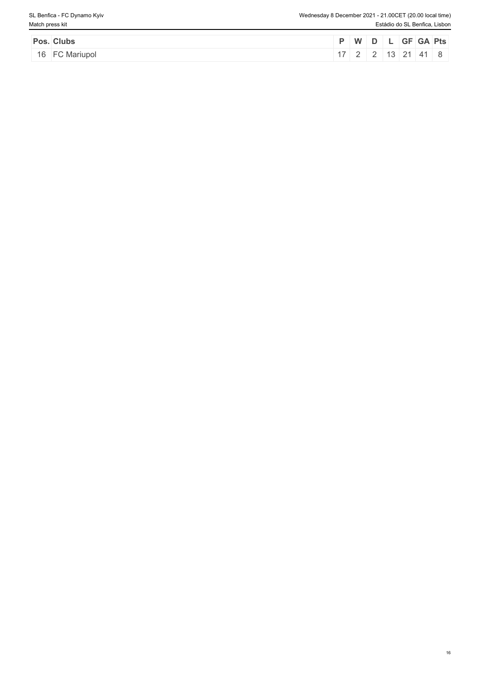| Pos. Clubs     |  | P W D L GF GA Pts               |  |  |  |
|----------------|--|---------------------------------|--|--|--|
| 16 FC Mariupol |  | $17$   2   2   13   21   41   8 |  |  |  |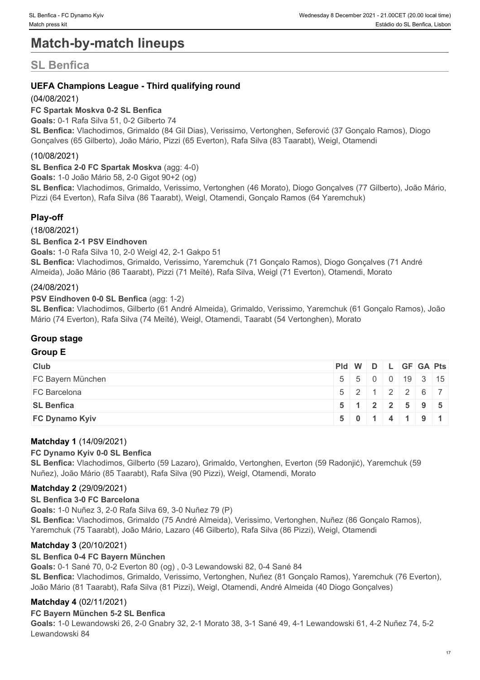# **Match-by-match lineups**

# **SL Benfica**

# **UEFA Champions League - Third qualifying round**

# (04/08/2021)

# **FC Spartak Moskva 0-2 SL Benfica**

**Goals:** 0-1 Rafa Silva 51, 0-2 Gilberto 74

**SL Benfica:** Vlachodimos, Grimaldo (84 Gil Dias), Verissimo, Vertonghen, Seferović (37 Gonçalo Ramos), Diogo Gonçalves (65 Gilberto), João Mário, Pizzi (65 Everton), Rafa Silva (83 Taarabt), Weigl, Otamendi

# (10/08/2021)

**SL Benfica 2-0 FC Spartak Moskva** (agg: 4-0)

**Goals:** 1-0 João Mário 58, 2-0 Gigot 90+2 (og)

**SL Benfica:** Vlachodimos, Grimaldo, Verissimo, Vertonghen (46 Morato), Diogo Gonçalves (77 Gilberto), João Mário, Pizzi (64 Everton), Rafa Silva (86 Taarabt), Weigl, Otamendi, Gonçalo Ramos (64 Yaremchuk)

# **Play-off**

(18/08/2021)

# **SL Benfica 2-1 PSV Eindhoven**

**Goals:** 1-0 Rafa Silva 10, 2-0 Weigl 42, 2-1 Gakpo 51

**SL Benfica:** Vlachodimos, Grimaldo, Verissimo, Yaremchuk (71 Gonçalo Ramos), Diogo Gonçalves (71 André Almeida), João Mário (86 Taarabt), Pizzi (71 Meïté), Rafa Silva, Weigl (71 Everton), Otamendi, Morato

# (24/08/2021)

## **PSV Eindhoven 0-0 SL Benfica** (agg: 1-2)

**SL Benfica:** Vlachodimos, Gilberto (61 André Almeida), Grimaldo, Verissimo, Yaremchuk (61 Gonçalo Ramos), João Mário (74 Everton), Rafa Silva (74 Meïté), Weigl, Otamendi, Taarabt (54 Vertonghen), Morato

# **Group stage**

# **Group E**

| <b>Club</b>           |  |  | Pid W D L GF GA Pts         |  |
|-----------------------|--|--|-----------------------------|--|
| FC Bayern München     |  |  | 5 5 0 0 19 3 15             |  |
| <b>FC Barcelona</b>   |  |  | $5$   2   1   2   2   6   7 |  |
| <b>SL Benfica</b>     |  |  | $5$   1   2   2   5   9   5 |  |
| <b>FC Dynamo Kyiv</b> |  |  | 50114191                    |  |

# **Matchday 1** (14/09/2021)

# **FC Dynamo Kyiv 0-0 SL Benfica**

**SL Benfica:** Vlachodimos, Gilberto (59 Lazaro), Grimaldo, Vertonghen, Everton (59 Radonjić), Yaremchuk (59 Nuñez), João Mário (85 Taarabt), Rafa Silva (90 Pizzi), Weigl, Otamendi, Morato

# **Matchday 2** (29/09/2021)

#### **SL Benfica 3-0 FC Barcelona**

**Goals:** 1-0 Nuñez 3, 2-0 Rafa Silva 69, 3-0 Nuñez 79 (P)

**SL Benfica:** Vlachodimos, Grimaldo (75 André Almeida), Verissimo, Vertonghen, Nuñez (86 Gonçalo Ramos), Yaremchuk (75 Taarabt), João Mário, Lazaro (46 Gilberto), Rafa Silva (86 Pizzi), Weigl, Otamendi

# **Matchday 3** (20/10/2021)

#### **SL Benfica 0-4 FC Bayern München**

**Goals:** 0-1 Sané 70, 0-2 Everton 80 (og) , 0-3 Lewandowski 82, 0-4 Sané 84

**SL Benfica:** Vlachodimos, Grimaldo, Verissimo, Vertonghen, Nuñez (81 Gonçalo Ramos), Yaremchuk (76 Everton), João Mário (81 Taarabt), Rafa Silva (81 Pizzi), Weigl, Otamendi, André Almeida (40 Diogo Gonçalves)

# **Matchday 4** (02/11/2021)

#### **FC Bayern München 5-2 SL Benfica**

**Goals:** 1-0 Lewandowski 26, 2-0 Gnabry 32, 2-1 Morato 38, 3-1 Sané 49, 4-1 Lewandowski 61, 4-2 Nuñez 74, 5-2 Lewandowski 84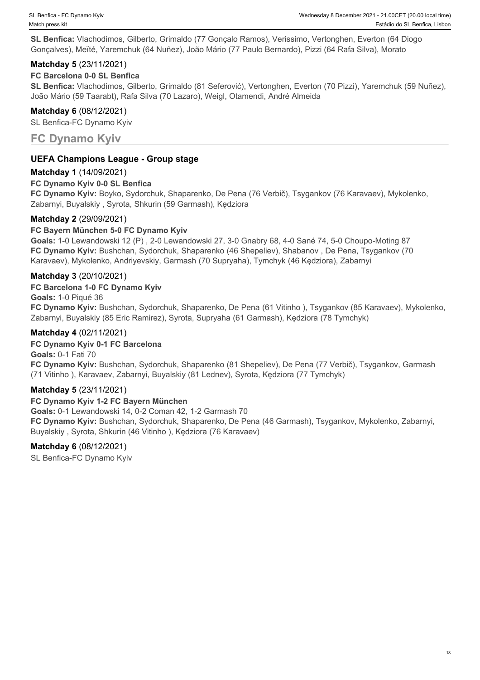**SL Benfica:** Vlachodimos, Gilberto, Grimaldo (77 Gonçalo Ramos), Verissimo, Vertonghen, Everton (64 Diogo Gonçalves), Meïté, Yaremchuk (64 Nuñez), João Mário (77 Paulo Bernardo), Pizzi (64 Rafa Silva), Morato

# **Matchday 5** (23/11/2021)

# **FC Barcelona 0-0 SL Benfica**

**SL Benfica:** Vlachodimos, Gilberto, Grimaldo (81 Seferović), Vertonghen, Everton (70 Pizzi), Yaremchuk (59 Nuñez), João Mário (59 Taarabt), Rafa Silva (70 Lazaro), Weigl, Otamendi, André Almeida

## **Matchday 6** (08/12/2021)

SL Benfica-FC Dynamo Kyiv

# **FC Dynamo Kyiv**

# **UEFA Champions League - Group stage**

# **Matchday 1** (14/09/2021)

## **FC Dynamo Kyiv 0-0 SL Benfica**

**FC Dynamo Kyiv:** Boyko, Sydorchuk, Shaparenko, De Pena (76 Verbič), Tsygankov (76 Karavaev), Mykolenko, Zabarnyi, Buyalskiy , Syrota, Shkurin (59 Garmash), Kędziora

## **Matchday 2** (29/09/2021)

## **FC Bayern München 5-0 FC Dynamo Kyiv**

**Goals:** 1-0 Lewandowski 12 (P) , 2-0 Lewandowski 27, 3-0 Gnabry 68, 4-0 Sané 74, 5-0 Choupo-Moting 87 **FC Dynamo Kyiv:** Bushchan, Sydorchuk, Shaparenko (46 Shepeliev), Shabanov , De Pena, Tsygankov (70 Karavaev), Mykolenko, Andriyevskiy, Garmash (70 Supryaha), Tymchyk (46 Kędziora), Zabarnyi

## **Matchday 3** (20/10/2021)

#### **FC Barcelona 1-0 FC Dynamo Kyiv**

**Goals:** 1-0 Piqué 36

**FC Dynamo Kyiv:** Bushchan, Sydorchuk, Shaparenko, De Pena (61 Vitinho ), Tsygankov (85 Karavaev), Mykolenko, Zabarnyi, Buyalskiy (85 Eric Ramirez), Syrota, Supryaha (61 Garmash), Kędziora (78 Tymchyk)

## **Matchday 4** (02/11/2021)

#### **FC Dynamo Kyiv 0-1 FC Barcelona**

**Goals:** 0-1 Fati 70 **FC Dynamo Kyiv:** Bushchan, Sydorchuk, Shaparenko (81 Shepeliev), De Pena (77 Verbič), Tsygankov, Garmash (71 Vitinho ), Karavaev, Zabarnyi, Buyalskiy (81 Lednev), Syrota, Kędziora (77 Tymchyk)

#### **Matchday 5** (23/11/2021)

#### **FC Dynamo Kyiv 1-2 FC Bayern München**

**Goals:** 0-1 Lewandowski 14, 0-2 Coman 42, 1-2 Garmash 70 **FC Dynamo Kyiv:** Bushchan, Sydorchuk, Shaparenko, De Pena (46 Garmash), Tsygankov, Mykolenko, Zabarnyi, Buyalskiy , Syrota, Shkurin (46 Vitinho ), Kędziora (76 Karavaev)

# **Matchday 6** (08/12/2021)

SL Benfica-FC Dynamo Kyiv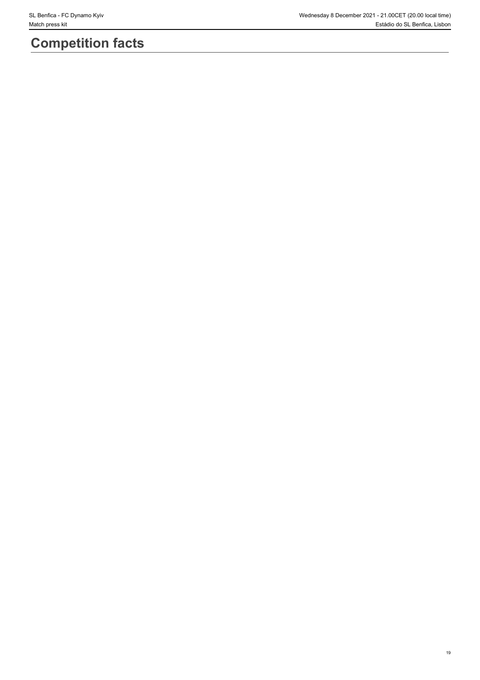# **Competition facts**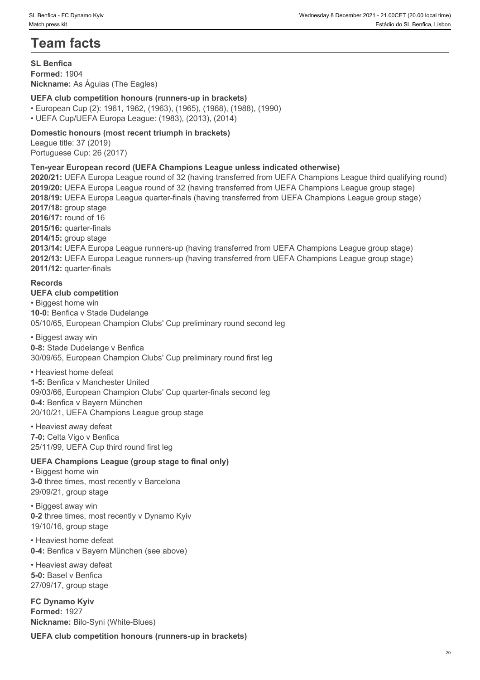# **Team facts**

**SL Benfica Formed:** 1904 **Nickname:** As Águias (The Eagles)

# **UEFA club competition honours (runners-up in brackets)**

• European Cup (2): 1961, 1962, (1963), (1965), (1968), (1988), (1990) • UEFA Cup/UEFA Europa League: (1983), (2013), (2014)

**Domestic honours (most recent triumph in brackets)**

League title: 37 (2019) Portuguese Cup: 26 (2017)

# **Ten-year European record (UEFA Champions League unless indicated otherwise)**

**2020/21:** UEFA Europa League round of 32 (having transferred from UEFA Champions League third qualifying round) **2019/20:** UEFA Europa League round of 32 (having transferred from UEFA Champions League group stage) **2018/19:** UEFA Europa League quarter-finals (having transferred from UEFA Champions League group stage) **2017/18:** group stage **2016/17:** round of 16 **2015/16:** quarter-finals **2014/15:** group stage **2013/14:** UEFA Europa League runners-up (having transferred from UEFA Champions League group stage) **2012/13:** UEFA Europa League runners-up (having transferred from UEFA Champions League group stage) **2011/12:** quarter-finals

#### **Records**

#### **UEFA club competition**

• Biggest home win **10-0:** Benfica v Stade Dudelange 05/10/65, European Champion Clubs' Cup preliminary round second leg

• Biggest away win **0-8:** Stade Dudelange v Benfica 30/09/65, European Champion Clubs' Cup preliminary round first leg

• Heaviest home defeat

**1-5:** Benfica v Manchester United 09/03/66, European Champion Clubs' Cup quarter-finals second leg **0-4:** Benfica v Bayern München 20/10/21, UEFA Champions League group stage

• Heaviest away defeat **7-0:** Celta Vigo v Benfica 25/11/99, UEFA Cup third round first leg

#### **UEFA Champions League (group stage to final only)**

• Biggest home win **3-0** three times, most recently v Barcelona 29/09/21, group stage

• Biggest away win **0-2** three times, most recently v Dynamo Kyiv 19/10/16, group stage

• Heaviest home defeat **0-4:** Benfica v Bayern München (see above)

• Heaviest away defeat **5-0:** Basel v Benfica 27/09/17, group stage

**FC Dynamo Kyiv Formed:** 1927 **Nickname:** Bilo-Syni (White-Blues)

**UEFA club competition honours (runners-up in brackets)**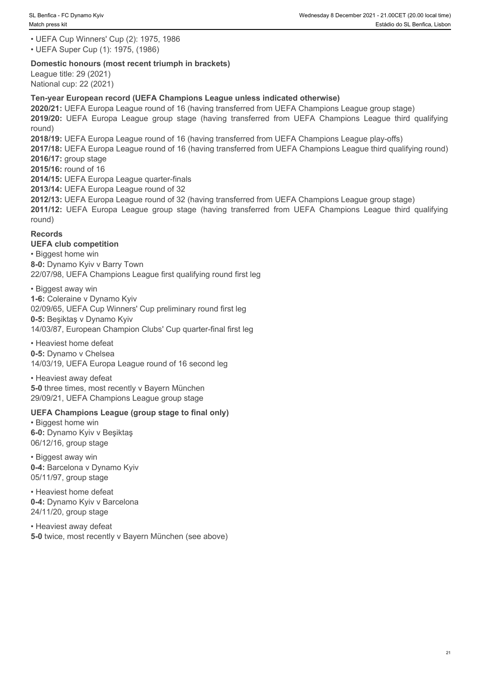• UEFA Cup Winners' Cup (2): 1975, 1986

• UEFA Super Cup (1): 1975, (1986)

#### **Domestic honours (most recent triumph in brackets)**

League title: 29 (2021) National cup: 22 (2021)

## **Ten-year European record (UEFA Champions League unless indicated otherwise)**

**2020/21:** UEFA Europa League round of 16 (having transferred from UEFA Champions League group stage) **2018/12: Perfect CDynamo Kyv**<br> **2019/2019/20: 2019/20: 1975, 1986**<br> **2019/2019/2019/2019/20: 1975, 1986**<br> **2020/21: DEFA Super Cup (1): 1975, 1986**<br> **2020/21: DEFA Europa League cound of 16 (having transferred from UEFA C** round) **2018/19:** UEFA Europa League round of 16 (having transferred from UEFA Champions League play-offs) **2017/18:** UEFA Europa League round of 16 (having transferred from UEFA Champions League third qualifying round) **2016/17:** group stage **2015/16:** round of 16 **2014/15:** UEFA Europa League quarter-finals **2013/14:** UEFA Europa League round of 32 **2012/13:** UEFA Europa League round of 32 (having transferred from UEFA Champions League group stage) **2012/13:** UEFA Cup workers (2011-12: 1975, 1986<br> **LUEFA Cup Winners' Cup (2): 1975, 1986**<br> **LUEFA Cup Winners' Cup (2): 1975, 1986**<br> **During Cup (2): 1975, 1986**<br> **League title: 29 (2021)**<br> **League title: 29 (2021)**<br> **Req** 

## **Records**

round)

## **UEFA club competition**

• Biggest home win **8-0:** Dynamo Kyiv v Barry Town

22/07/98, UEFA Champions League first qualifying round first leg

• Biggest away win **1-6:** Coleraine v Dynamo Kyiv 02/09/65, UEFA Cup Winners' Cup preliminary round first leg **0-5:** Beşiktaş v Dynamo Kyiv 14/03/87, European Champion Clubs' Cup quarter-final first leg

• Heaviest home defeat **0-5:** Dynamo v Chelsea 14/03/19, UEFA Europa League round of 16 second leg

• Heaviest away defeat **5-0** three times, most recently v Bayern München 29/09/21, UEFA Champions League group stage

# **UEFA Champions League (group stage to final only)**

• Biggest home win **6-0:** Dynamo Kyiv v Beşiktaş 06/12/16, group stage

• Biggest away win **0-4:** Barcelona v Dynamo Kyiv 05/11/97, group stage

• Heaviest home defeat **0-4:** Dynamo Kyiv v Barcelona 24/11/20, group stage

• Heaviest away defeat **5-0** twice, most recently v Bayern München (see above)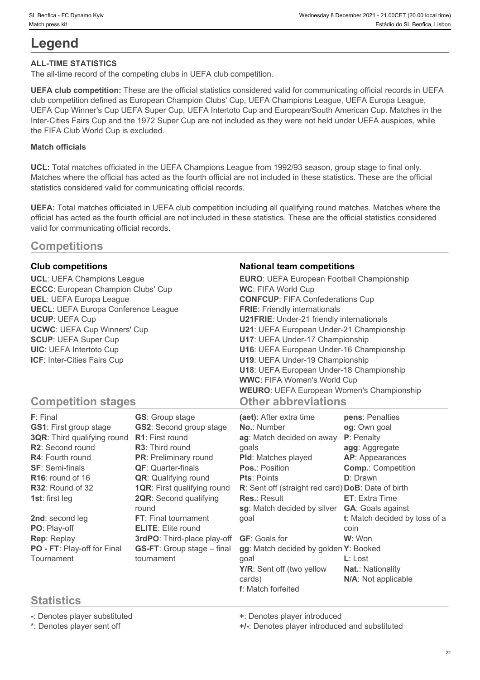# **Legend**

# **ALL-TIME STATISTICS**

The all-time record of the competing clubs in UEFA club competition.

**UEFA club competition:** These are the official statistics considered valid for communicating official records in UEFA club competition defined as European Champion Clubs' Cup, UEFA Champions League, UEFA Europa League, UEFA Cup Winner's Cup UEFA Super Cup, UEFA Intertoto Cup and European/South American Cup. Matches in the Inter-Cities Fairs Cup and the 1972 Super Cup are not included as they were not held under UEFA auspices, while the FIFA Club World Cup is excluded.

## **Match officials**

**UCL:** Total matches officiated in the UEFA Champions League from 1992/93 season, group stage to final only. Matches where the official has acted as the fourth official are not included in these statistics. These are the official statistics considered valid for communicating official records.

**UEFA:** Total matches officiated in UEFA club competition including all qualifying round matches. Matches where the official has acted as the fourth official are not included in these statistics. These are the official statistics considered valid for communicating official records.

# **Competitions**

**ECCC**: European Champion Clubs' Cup **UECL**: UEFA Europa Conference League

## **Club competitions National team competitions**

**UCL**: UEFA Champions League **EURO**: UEFA European Football Championship **UEL**: UEFA Europa League **CONFCUP**: FIFA Confederations Cup **UCUP**: UEFA Cup **U21FRIE**: Under-21 friendly internationals **UCWC**: UEFA Cup Winners' Cup **U21**: UEFA European Under-21 Championship **SCUP**: UEFA Super Cup **U17**: UEFA Under-17 Championship **UIC**: UEFA Intertoto Cup **U16**: UEFA European Under-16 Championship **ICF**: Inter-Cities Fairs Cup **U19**: UEFA Under-19 Championship **WC**: FIFA World Cup **FRIE**: Friendly internationals **U18**: UEFA European Under-18 Championship **WWC**: FIFA Women's World Cup **WEURO**: UEFA European Women's Championship **Other abbreviations**

# **Competition stages**

| F: Final                      | <b>GS:</b> Group stage             | (aet): After extra time                            | pens: Penalties               |
|-------------------------------|------------------------------------|----------------------------------------------------|-------------------------------|
| <b>GS1: First group stage</b> | <b>GS2: Second group stage</b>     | No.: Number                                        | og: Own goal                  |
| 3QR: Third qualifying round   | <b>R1:</b> First round             | ag: Match decided on away                          | P: Penalty                    |
| R2: Second round              | <b>R3:</b> Third round             | qoals                                              | agg: Aggregate                |
| <b>R4: Fourth round</b>       | <b>PR:</b> Preliminary round       | <b>PId:</b> Matches played                         | <b>AP:</b> Appearances        |
| <b>SF: Semi-finals</b>        | <b>QF: Quarter-finals</b>          | <b>Pos.: Position</b>                              | <b>Comp.: Competition</b>     |
| R <sub>16</sub> : round of 16 | <b>QR:</b> Qualifying round        | <b>Pts: Points</b>                                 | D: Drawn                      |
| <b>R32: Round of 32</b>       | <b>1QR:</b> First qualifying round | R: Sent off (straight red card) DoB: Date of birth |                               |
| <b>1st: first leg</b>         | <b>2QR:</b> Second qualifying      | <b>Res.: Result</b>                                | <b>ET:</b> Extra Time         |
|                               | round                              | sg: Match decided by silver                        | <b>GA:</b> Goals against      |
| 2nd: second leg               | <b>FT:</b> Final tournament        | goal                                               | t: Match decided by toss of a |
| PO: Play-off                  | <b>ELITE:</b> Elite round          |                                                    | coin                          |
| Rep: Replay                   | 3rdPO: Third-place play-off        | <b>GF:</b> Goals for                               | W: Won                        |
| PO - FT: Play-off for Final   | <b>GS-FT:</b> Group stage – final  | gg: Match decided by golden Y: Booked              |                               |
| Tournament                    | tournament                         | qoal                                               | $L:$ Lost                     |
|                               |                                    | Y/R: Sent off (two yellow                          | <b>Nat.: Nationality</b>      |
|                               |                                    | cards)                                             | N/A: Not applicable           |
|                               |                                    | f: Match forfeited                                 |                               |

# **Statistics**

**-**: Denotes player substituted **+**: Denotes player introduced

**\***: Denotes player sent off **+/-**: Denotes player introduced and substituted